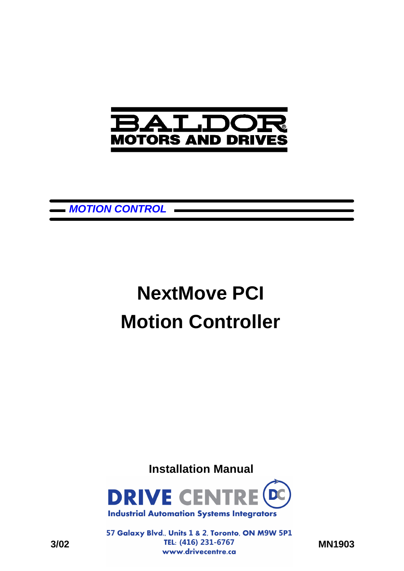

 $\overline{a}$ 

*MOTION CONTROL*

# **NextMove PCI Motion Controller**

**Installation Manual**



57 Galaxy Blvd., Units 1 & 2, Toronto, ON M9W 5P1 **3/02 MN1903**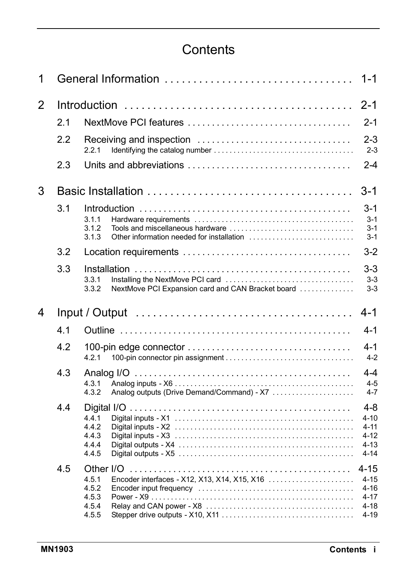### **Contents**

| 1 |     | $1 - 1$                                                             |                                                                     |  |  |
|---|-----|---------------------------------------------------------------------|---------------------------------------------------------------------|--|--|
| 2 |     |                                                                     |                                                                     |  |  |
|   | 2.1 |                                                                     | $2 - 1$                                                             |  |  |
|   | 2.2 | 2.2.1                                                               | $2 - 3$<br>$2 - 3$                                                  |  |  |
|   | 2.3 |                                                                     | $2 - 4$                                                             |  |  |
| 3 |     |                                                                     | $3-1$                                                               |  |  |
|   | 3.1 | 3.1.1<br>3.1.2<br>3.1.3                                             | 3-1<br>$3-1$<br>$3-1$<br>$3 - 1$                                    |  |  |
|   | 3.2 |                                                                     | $3 - 2$                                                             |  |  |
|   | 3.3 | 3.3.1<br>3.3.2<br>NextMove PCI Expansion card and CAN Bracket board | 3-3<br>$3 - 3$<br>$3-3$                                             |  |  |
|   |     |                                                                     |                                                                     |  |  |
| 4 |     |                                                                     | $4 - 1$                                                             |  |  |
|   | 4.1 |                                                                     | 4-1                                                                 |  |  |
|   | 4.2 | 4.2.1                                                               | $4 - 1$<br>$4 - 2$                                                  |  |  |
|   | 4.3 | 4.3.1<br>4.3.2<br>Analog outputs (Drive Demand/Command) - X7        | 4-4<br>$4 - 5$<br>$4 - 7$                                           |  |  |
|   | 4.4 | 4.4.1<br>4.4.2<br>4.4.3<br>4.4.4<br>4.4.5                           | $4 - 8$<br>$4 - 10$<br>$4 - 11$<br>$4 - 12$<br>$4 - 13$<br>$4 - 14$ |  |  |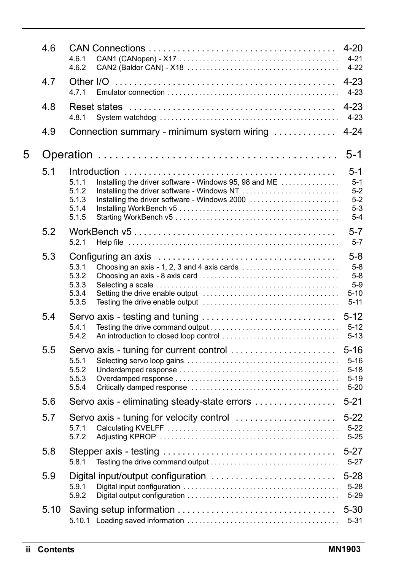|   | 4.6  | 4.6.1<br>4.6.2                                                                                                                                       | $4 - 20$<br>$4 - 21$<br>$4 - 22$                             |
|---|------|------------------------------------------------------------------------------------------------------------------------------------------------------|--------------------------------------------------------------|
|   | 4.7  | 4.7.1                                                                                                                                                | $4 - 23$<br>$4 - 23$                                         |
|   | 4.8  | 4.8.1                                                                                                                                                | $4 - 23$<br>$4 - 23$                                         |
|   | 4.9  | Connection summary - minimum system wiring                                                                                                           | $4 - 24$                                                     |
| 5 |      |                                                                                                                                                      | $5-1$                                                        |
|   | 5.1  | Installing the driver software - Windows 95, 98 and ME<br>5.1.1<br>5.1.2<br>5.1.3<br>Installing the driver software - Windows 2000<br>5.1.4<br>5.1.5 | $5 - 1$<br>$5-1$<br>$5 - 2$<br>$5-2$<br>$5-3$<br>$5 - 4$     |
|   | 5.2  | 5.2.1                                                                                                                                                | $5 - 7$<br>$5 - 7$                                           |
|   | 5.3  | 5.3.1<br>5.3.2<br>5.3.3<br>5.3.4<br>5.3.5                                                                                                            | $5 - 8$<br>$5-8$<br>$5 - 8$<br>$5-9$<br>$5 - 10$<br>$5 - 11$ |
|   | 5.4  | Servo axis - testing and tuning<br>5.4.1<br>5.4.2                                                                                                    | $5 - 12$<br>$5 - 12$<br>$5 - 13$                             |
|   | 5.5  | Servo axis - tuning for current control<br>5.5.1<br>5.5.2<br>5.5.3<br>5.5.4                                                                          | $5 - 16$<br>$5 - 16$<br>$5 - 18$<br>$5 - 19$<br>$5 - 20$     |
|   | 5.6  | Servo axis - eliminating steady-state errors                                                                                                         | $5 - 21$                                                     |
|   | 5.7  | Servo axis - tuning for velocity control<br>5.7.1<br>5.7.2                                                                                           | $5-22$<br>$5 - 22$<br>$5 - 25$                               |
|   | 5.8  | 5.8.1                                                                                                                                                | $5 - 27$<br>$5 - 27$                                         |
|   | 5.9  | Digital input/output configuration<br>5.9.1<br>5.9.2                                                                                                 | $5 - 28$<br>$5 - 28$<br>$5 - 29$                             |
|   | 5.10 |                                                                                                                                                      | $5 - 30$<br>$5 - 31$                                         |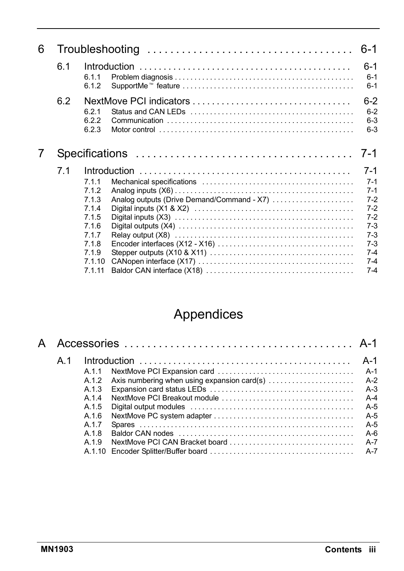| 6.1 | 6.1.1<br>6.1.2                                                                            |                                                                                                               | $6-1$<br>$6 - 1$<br>$6 - 1$                                                                            |
|-----|-------------------------------------------------------------------------------------------|---------------------------------------------------------------------------------------------------------------|--------------------------------------------------------------------------------------------------------|
| 6.2 | 621<br>622<br>6.2.3                                                                       | Motor control entrepresentative control entrepresentative control entrepresentative control entrepresentative | $6 - 2$<br>$6 - 2$<br>$6 - 3$<br>$6 - 3$                                                               |
|     |                                                                                           |                                                                                                               | 7-1                                                                                                    |
| 7.1 | 7.1.1<br>7.1.2<br>713<br>714<br>7.1.5<br>7.1.6<br>717<br>718<br>7.1.9<br>7.1.10<br>7 1 11 | Analog outputs (Drive Demand/Command - X7)                                                                    | 7-1<br>$7-1$<br>$7-1$<br>$7-2$<br>$7-2$<br>$7-2$<br>$7-3$<br>$7-3$<br>$7-3$<br>$7-4$<br>$7-4$<br>$7-4$ |
|     |                                                                                           |                                                                                                               |                                                                                                        |

## Appendices

| А |     |       |                                                                                                                                                                                                                                |       |
|---|-----|-------|--------------------------------------------------------------------------------------------------------------------------------------------------------------------------------------------------------------------------------|-------|
|   | A 1 |       |                                                                                                                                                                                                                                | A-1   |
|   |     | A 1 1 |                                                                                                                                                                                                                                | A-1   |
|   |     | A.1.2 |                                                                                                                                                                                                                                |       |
|   |     | A 1 3 |                                                                                                                                                                                                                                | $A-3$ |
|   |     | A 14  |                                                                                                                                                                                                                                | $A-4$ |
|   |     | A.1.5 |                                                                                                                                                                                                                                | $A-5$ |
|   |     | A 16  |                                                                                                                                                                                                                                | $A-5$ |
|   |     | A 1 7 |                                                                                                                                                                                                                                | $A-5$ |
|   |     | A 1 8 | Baldor CAN nodes entertainment of the contract of the Baldor CAN nodes and contract the contract of the contract of the contract of the contract of the contract of the contract of the contract of the contract of the contra | $A-6$ |
|   |     | A 1 9 |                                                                                                                                                                                                                                | $A-7$ |
|   |     |       |                                                                                                                                                                                                                                | $A-7$ |
|   |     |       |                                                                                                                                                                                                                                |       |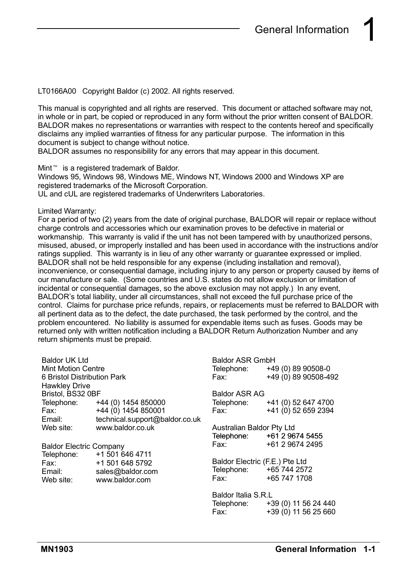LT0166A00 Copyright Baldor (c) 2002. All rights reserved.

This manual is copyrighted and all rights are reserved. This document or attached software may not. in whole or in part, be copied or reproduced in any form without the prior written consent of BALDOR. BALDOR makes no representations or warranties with respect to the contents hereof and specifically disclaims any implied warranties of fitness for any particular purpose. The information in this document is subject to change without notice.

BALDOR assumes no responsibility for any errors that may appear in this document.

Mint<sup>™</sup> is a registered trademark of Baldor.

Windows 95, Windows 98, Windows ME, Windows NT, Windows 2000 and Windows XP are registered trademarks of the Microsoft Corporation.

UL and cUL are registered trademarks of Underwriters Laboratories.

Limited Warranty:

For a period of two (2) years from the date of original purchase, BALDOR will repair or replace without charge controls and accessories which our examination proves to be defective in material or workmanship. This warranty is valid if the unit has not been tampered with by unauthorized persons, misused, abused, or improperly installed and has been used in accordance with the instructions and/or ratings supplied. This warranty is in lieu of any other warranty or guarantee expressed or implied. BALDOR shall not be held responsible for any expense (including installation and removal), inconvenience, or consequential damage, including injury to any person or property caused by items of our manufacture or sale. (Some countries and U.S. states do not allow exclusion or limitation of incidental or consequential damages, so the above exclusion may not apply.) In any event, BALDOR's total liability, under all circumstances, shall not exceed the full purchase price of the control. Claims for purchase price refunds, repairs, or replacements must be referred to BALDOR with all pertinent data as to the defect, the date purchased, the task performed by the control, and the problem encountered. No liability is assumed for expendable items such as fuses. Goods may be returned only with written notification including a BALDOR Return Authorization Number and any return shipments must be prepaid.

| Baldor UK Ltd                  |                                | <b>Baldor ASR GmbH</b>                                                                              |                                 |  |
|--------------------------------|--------------------------------|-----------------------------------------------------------------------------------------------------|---------------------------------|--|
| <b>Mint Motion Centre</b>      |                                |                                                                                                     | Telephone: +49 (0) 89 90508-0   |  |
| 6 Bristol Distribution Park    |                                | Fax: The Transfer                                                                                   | +49 (0) 89 90508-492            |  |
| Hawkley Drive                  |                                |                                                                                                     |                                 |  |
| Bristol, BS32 0BF              |                                | <b>Baldor ASR AG</b>                                                                                |                                 |  |
|                                | Telephone: +44 (0) 1454 850000 |                                                                                                     | Telephone: +41 (0) 52 647 4700  |  |
| Fax: Fax:                      | +44 (0) 1454 850001            | Fax: Fax:                                                                                           | +41 (0) 52 659 2394             |  |
| Email:                         | technical.support@baldor.co.uk |                                                                                                     |                                 |  |
| Web site:                      | www.baldor.co.uk               | Australian Baldor Pty Ltd                                                                           |                                 |  |
|                                |                                |                                                                                                     | Telephone: +61 2 9674 5455      |  |
| <b>Baldor Electric Company</b> |                                |                                                                                                     | Fax: +61 2 9674 2495            |  |
|                                | Telephone: +1 501 646 4711     |                                                                                                     |                                 |  |
|                                | Fax: +1 501 648 5792           | Baldor Electric (F.E.) Pte Ltd                                                                      |                                 |  |
| Email: Email:                  | sales@baldor.com               | Telephone: +65 744 2572                                                                             |                                 |  |
| Web site:                      | www.baldor.com                 | Fax: The Transfer of the Transfer of Transfer of Transfer of Transfer of Transfer of Transfer of Tr | +65 747 1708                    |  |
|                                |                                | Baldor Italia S.R.L                                                                                 |                                 |  |
|                                |                                |                                                                                                     | Telephone: +39 (0) 11 56 24 440 |  |
|                                |                                | Fax: Fax:                                                                                           | +39 (0) 11 56 25 660            |  |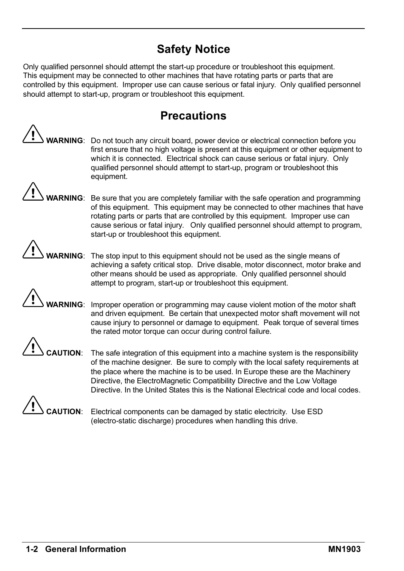### **Safety Notice**

Only qualified personnel should attempt the start-up procedure or troubleshoot this equipment. This equipment may be connected to other machines that have rotating parts or parts that are controlled by this equipment. Improper use can cause serious or fatal injury. Only qualified personnel should attempt to start-up, program or troubleshoot this equipment.

### **Precautions**

**WARNING**: Do not touch any circuit board, power device or electrical connection before you first ensure that no high voltage is present at this equipment or other equipment to which it is connected. Electrical shock can cause serious or fatal injury. Only qualified personnel should attempt to start-up, program or troubleshoot this equipment.

**WARNING**: Be sure that you are completely familiar with the safe operation and programming of this equipment. This equipment may be connected to other machines that have rotating parts or parts that are controlled by this equipment. Improper use can cause serious or fatal injury. Only qualified personnel should attempt to program, start-up or troubleshoot this equipment.

**WARNING**: The stop input to this equipment should not be used as the single means of achieving a safety critical stop. Drive disable, motor disconnect, motor brake and other means should be used as appropriate. Only qualified personnel should attempt to program, start-up or troubleshoot this equipment.

**RNING:** Improper operation or programming may cause violent motion of the motor shaft and driven equipment. Be certain that unexpected motor shaft movement will not cause injury to personnel or damage to equipment. Peak torque of several times the rated motor torque can occur during control failure.

**UTION:** The safe integration of this equipment into a machine system is the responsibility of the machine designer. Be sure to comply with the local safety requirements at the place where the machine is to be used. In Europe these are the Machinery Directive, the ElectroMagnetic Compatibility Directive and the Low Voltage Directive. In the United States this is the National Electrical code and local codes.



UTION: Electrical components can be damaged by static electricity. Use ESD (electro-static discharge) procedures when handling this drive.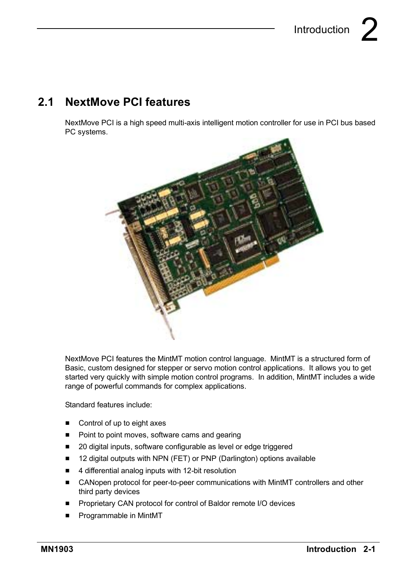### **2.1 NextMove PCI features**

NextMove PCI is a high speed multi-axis intelligent motion controller for use in PCI bus based PC systems.



NextMove PCI features the MintMT motion control language. MintMT is a structured form of Basic, custom designed for stepper or servo motion control applications. It allows you to get started very quickly with simple motion control programs. In addition, MintMT includes a wide range of powerful commands for complex applications.

Standard features include:

- $\blacksquare$  Control of up to eight axes
- Point to point moves, software cams and gearing
- 20 digital inputs, software configurable as level or edge triggered
- 12 digital outputs with NPN (FET) or PNP (Darlington) options available
- 4 differential analog inputs with 12-bit resolution
- CANopen protocol for peer-to-peer communications with MintMT controllers and other third party devices
- Proprietary CAN protocol for control of Baldor remote I/O devices
- **F** Programmable in MintMT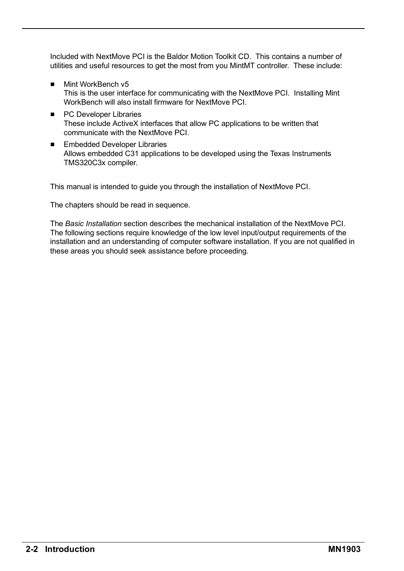Included with NextMove PCI is the Baldor Motion Toolkit CD. This contains a number of utilities and useful resources to get the most from you MintMT controller. These include:

- Mint WorkBench v5 This is the user interface for communicating with the NextMove PCI. Installing Mint WorkBench will also install firmware for NextMove PCI.
- PC Developer Libraries These include ActiveX interfaces that allow PC applications to be written that communicate with the NextMove PCI.
- Embedded Developer Libraries Allows embedded C31 applications to be developed using the Texas Instruments TMS320C3x compiler.

This manual is intended to guide you through the installation of NextMove PCI.

The chapters should be read in sequence.

The *Basic Installation* section describes the mechanical installation of the NextMove PCI. The following sections require knowledge of the low level input/output requirements of the installation and an understanding of computer software installation. If you are not qualified in these areas you should seek assistance before proceeding.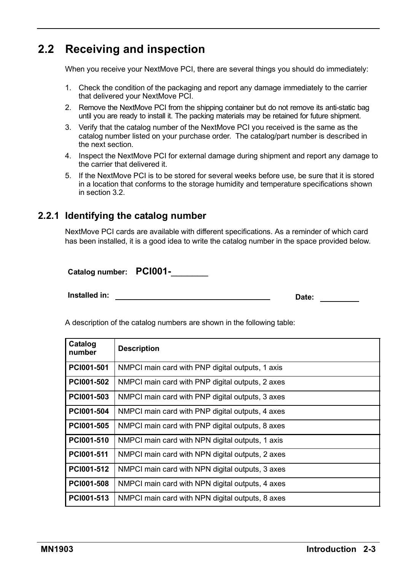### **2.2 Receiving and inspection**

When you receive your NextMove PCI, there are several things you should do immediately:

- 1. Check the condition of the packaging and report any damage immediately to the carrier that delivered your NextMove PCI.
- 2. Remove the NextMove PCI from the shipping container but do not remove its anti-static bag until you are ready to install it. The packing materials may be retained for future shipment.
- 3. Verify that the catalog number of the NextMove PCI you received is the same as the catalog number listed on your purchase order. The catalog/part number is described in the next section.
- 4. Inspect the NextMove PCI for external damage during shipment and report any damage to the carrier that delivered it.
- 5. If the NextMove PCI is to be stored for several weeks before use, be sure that it is stored in a location that conforms to the storage humidity and temperature specifications shown in section 3.2.

#### **2.2.1 Identifying the catalog number**

NextMove PCI cards are available with different specifications. As a reminder of which card has been installed, it is a good idea to write the catalog number in the space provided below.

**Catalog number: PCI001-**\_\_\_\_\_\_\_

**Installed in:** \_\_\_\_\_\_\_\_\_\_\_\_\_\_\_\_\_\_\_\_\_\_\_\_ **Date:** \_\_\_\_\_\_

A description of the catalog numbers are shown in the following table:

| Catalog<br>number | <b>Description</b>                               |
|-------------------|--------------------------------------------------|
| PCI001-501        | NMPCI main card with PNP digital outputs, 1 axis |
| PC1001-502        | NMPCI main card with PNP digital outputs, 2 axes |
| PC1001-503        | NMPCI main card with PNP digital outputs, 3 axes |
| PCI001-504        | NMPCI main card with PNP digital outputs, 4 axes |
| PCI001-505        | NMPCI main card with PNP digital outputs, 8 axes |
| PC1001-510        | NMPCI main card with NPN digital outputs, 1 axis |
| PCI001-511        | NMPCI main card with NPN digital outputs, 2 axes |
| PC1001-512        | NMPCI main card with NPN digital outputs, 3 axes |
| PCI001-508        | NMPCI main card with NPN digital outputs, 4 axes |
| PC1001-513        | NMPCI main card with NPN digital outputs, 8 axes |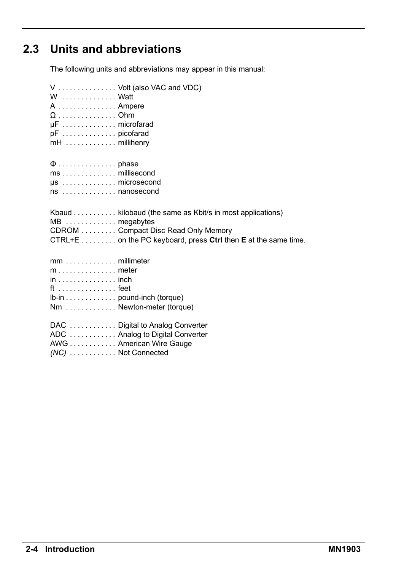### **2.3 Units and abbreviations**

The following units and abbreviations may appear in this manual:

| W Watt<br>A  Ampere<br>$\Omega$ Ohm<br>µF microfarad<br>mH millihenry                             | V  Volt (also VAC and VDC)                                                                                                                                                      |
|---------------------------------------------------------------------------------------------------|---------------------------------------------------------------------------------------------------------------------------------------------------------------------------------|
| ms millisecond<br>$\mu$ s microsecond<br>ns  nanosecond                                           |                                                                                                                                                                                 |
| MB  megabytes                                                                                     | Kbaud kilobaud (the same as Kbit/s in most applications)<br>CDROM Compact Disc Read Only Memory<br>CTRL+E $\dots \dots$ on the PC keyboard, press Ctrl then E at the same time. |
| $mm \ldots \ldots \ldots \ldots$ millimeter<br>$in \dots \dots \dots \dots \dots$ inch<br>ft feet | Ib-in pound-inch (torque)<br>Nm  Newton-meter (torque)                                                                                                                          |
| $(NC)$ Not Connected                                                                              | DAC Digital to Analog Converter<br>ADC Analog to Digital Converter<br>AWG American Wire Gauge                                                                                   |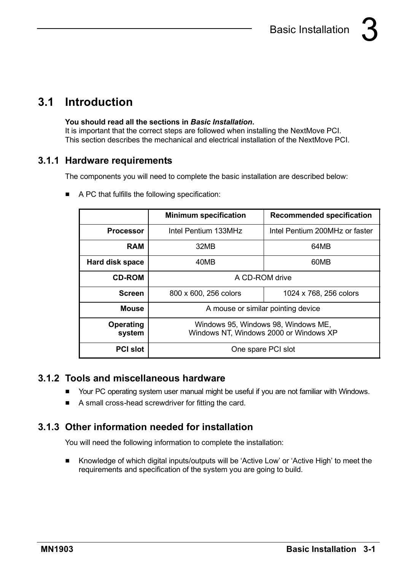### **3.1 Introduction**

#### **You should read all the sections in** *Basic Installation***.**

It is important that the correct steps are followed when installing the NextMove PCI. This section describes the mechanical and electrical installation of the NextMove PCI.

#### **3.1.1 Hardware requirements**

The components you will need to complete the basic installation are described below:

|                     | <b>Minimum specification</b>                                                  | <b>Recommended specification</b> |  |
|---------------------|-------------------------------------------------------------------------------|----------------------------------|--|
| <b>Processor</b>    | Intel Pentium 133MHz                                                          | Intel Pentium 200MHz or faster   |  |
| <b>RAM</b>          | 32MB                                                                          | 64MB                             |  |
| Hard disk space     | 40MB                                                                          | 60MB                             |  |
| <b>CD-ROM</b>       | A CD-ROM drive                                                                |                                  |  |
| <b>Screen</b>       | 800 x 600, 256 colors                                                         | 1024 x 768, 256 colors           |  |
| Mouse               | A mouse or similar pointing device                                            |                                  |  |
| Operating<br>system | Windows 95, Windows 98, Windows ME,<br>Windows NT, Windows 2000 or Windows XP |                                  |  |
| <b>PCI slot</b>     | One spare PCI slot                                                            |                                  |  |

■ A PC that fulfills the following specification:

#### **3.1.2 Tools and miscellaneous hardware**

- H Your PC operating system user manual might be useful if you are not familiar with Windows.
- A small cross-head screwdriver for fitting the card.

### **3.1.3 Other information needed for installation**

You will need the following information to complete the installation:

■ Knowledge of which digital inputs/outputs will be 'Active Low' or 'Active High' to meet the requirements and specification of the system you are going to build.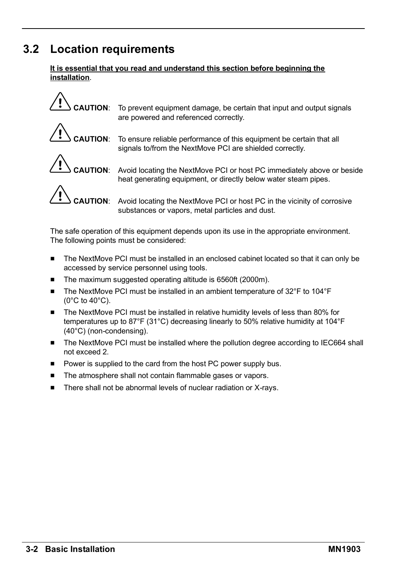### **3.2 Location requirements**

#### **It is essential that you read and understand this section before beginning the installation**.



**CAUTION**: To prevent equipment damage, be certain that input and output signals are powered and referenced correctly.



**CAUTION**: To ensure reliable performance of this equipment be certain that all signals to/from the NextMove PCI are shielded correctly.



**CAUTION**: Avoid locating the NextMove PCI or host PC immediately above or beside heat generating equipment, or directly below water steam pipes.



**CAUTION**: Avoid locating the NextMove PCI or host PC in the vicinity of corrosive substances or vapors, metal particles and dust.

The safe operation of this equipment depends upon its use in the appropriate environment. The following points must be considered:

- The NextMove PCI must be installed in an enclosed cabinet located so that it can only be accessed by service personnel using tools.
- The maximum suggested operating altitude is 6560ft (2000m).
- $\blacksquare$  The NextMove PCI must be installed in an ambient temperature of 32°F to 104°F (0°C to 40°C).
- $\blacksquare$  The NextMove PCI must be installed in relative humidity levels of less than 80% for temperatures up to 87°F (31°C) decreasing linearly to 50% relative humidity at 104°F (40°C) (non-condensing).
- The NextMove PCI must be installed where the pollution degree according to IEC664 shall not exceed 2.
- **Power is supplied to the card from the host PC power supply bus.**
- The atmosphere shall not contain flammable gases or vapors.
- $\blacksquare$  There shall not be abnormal levels of nuclear radiation or X-rays.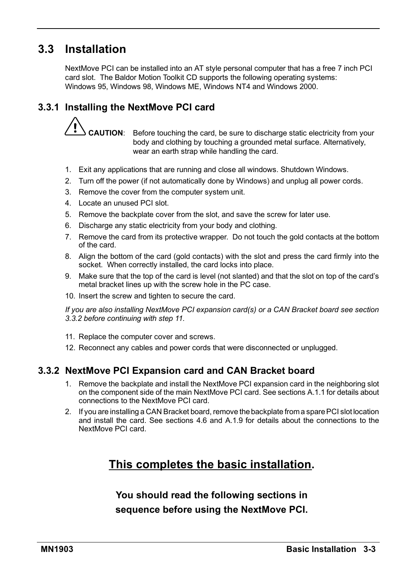### **3.3 Installation**

NextMove PCI can be installed into an AT style personal computer that has a free 7 inch PCI card slot. The Baldor Motion Toolkit CD supports the following operating systems: Windows 95, Windows 98, Windows ME, Windows NT4 and Windows 2000.

#### **3.3.1 Installing the NextMove PCI card**

**CAUTION**: Before touching the card, be sure to discharge static electricity from your body and clothing by touching a grounded metal surface. Alternatively, wear an earth strap while handling the card.

- 1. Exit any applications that are running and close all windows. Shutdown Windows.
- 2. Turn off the power (if not automatically done by Windows) and unplug all power cords.
- 3. Remove the cover from the computer system unit.
- 4. Locate an unused PCI slot.
- 5. Remove the backplate cover from the slot, and save the screw for later use.
- 6. Discharge any static electricity from your body and clothing.
- 7. Remove the card from its protective wrapper. Do not touch the gold contacts at the bottom of the card.
- 8. Alian the bottom of the card (gold contacts) with the slot and press the card firmly into the socket. When correctly installed, the card locks into place.
- 9. Make sure that the top of the card is level (not slanted) and that the slot on top of the cardís metal bracket lines up with the screw hole in the PC case.
- 10. Insert the screw and tighten to secure the card.

*If you are also installing NextMove PCI expansion card(s) or a CAN Bracket board see section 3.3.2 before continuing with step 11.*

- 11. Replace the computer cover and screws.
- 12. Reconnect any cables and power cords that were disconnected or unplugged.

#### **3.3.2 NextMove PCI Expansion card and CAN Bracket board**

- 1. Remove the backplate and install the NextMove PCI expansion card in the neighboring slot on the component side of the main NextMove PCI card. See sections A.1.1 for details about connections to the NextMove PCI card.
- 2. If you are installing a CAN Bracket board, remove the backplate from a spare PCI slot location and install the card. See sections 4.6 and A.1.9 for details about the connections to the NextMove PCI card.

### **This completes the basic installation.**

**You should read the following sections in sequence before using the NextMove PCI.**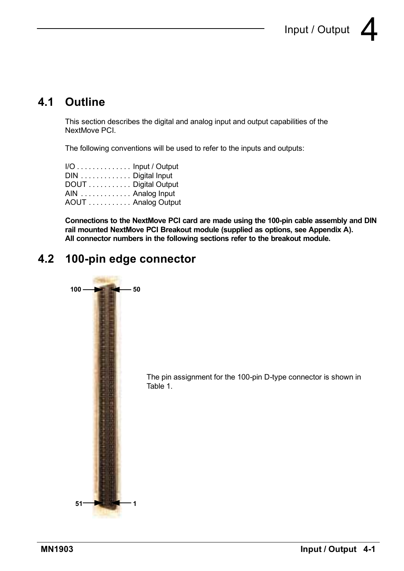### **4.1 Outline**

This section describes the digital and analog input and output capabilities of the NextMove PCI.

The following conventions will be used to refer to the inputs and outputs:

| I/O Input / Output  |  |
|---------------------|--|
| DIN  Digital Input  |  |
| DOUT Digital Output |  |
| AIN  Analog Input   |  |
| AOUT  Analog Output |  |

**Connections to the NextMove PCI card are made using the 100-pin cable assembly and DIN rail mounted NextMove PCI Breakout module (supplied as options, see Appendix A). All connector numbers in the following sections refer to the breakout module.**

### **4.2 100-pin edge connector**

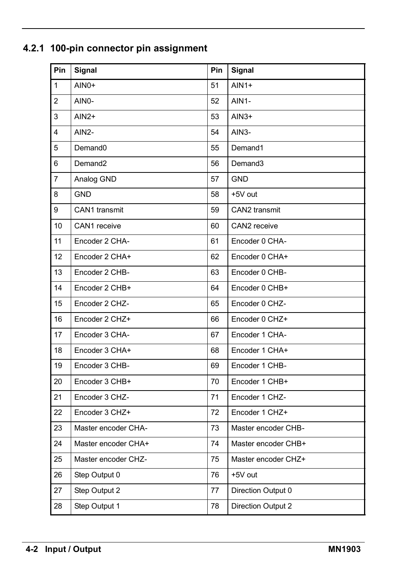| Pin            | Signal              | Pin | Signal              |
|----------------|---------------------|-----|---------------------|
| 1              | AIN0+               | 51  | $AlN1+$             |
| $\overline{2}$ | AIN0-               | 52  | AIN1-               |
| 3              | $AlN2+$             | 53  | $AlN3+$             |
| 4              | AIN2-               | 54  | AIN3-               |
| 5              | Demand <sub>0</sub> | 55  | Demand1             |
| 6              | Demand <sub>2</sub> | 56  | Demand3             |
| $\overline{7}$ | Analog GND          | 57  | <b>GND</b>          |
| 8              | <b>GND</b>          | 58  | +5V out             |
| 9              | CAN1 transmit       | 59  | CAN2 transmit       |
| 10             | CAN1 receive        | 60  | CAN2 receive        |
| 11             | Encoder 2 CHA-      | 61  | Encoder 0 CHA-      |
| 12             | Encoder 2 CHA+      | 62  | Encoder 0 CHA+      |
| 13             | Encoder 2 CHB-      | 63  | Encoder 0 CHB-      |
| 14             | Encoder 2 CHB+      | 64  | Encoder 0 CHB+      |
| 15             | Encoder 2 CHZ-      | 65  | Encoder 0 CHZ-      |
| 16             | Encoder 2 CHZ+      | 66  | Encoder 0 CHZ+      |
| 17             | Encoder 3 CHA-      | 67  | Encoder 1 CHA-      |
| 18             | Encoder 3 CHA+      | 68  | Encoder 1 CHA+      |
| 19             | Encoder 3 CHB-      | 69  | Encoder 1 CHB-      |
| 20             | Encoder 3 CHB+      | 70  | Encoder 1 CHB+      |
| 21             | Encoder 3 CHZ-      | 71  | Encoder 1 CHZ-      |
| 22             | Encoder 3 CHZ+      | 72  | Encoder 1 CHZ+      |
| 23             | Master encoder CHA- | 73  | Master encoder CHB- |
| 24             | Master encoder CHA+ | 74  | Master encoder CHB+ |
| 25             | Master encoder CHZ- | 75  | Master encoder CHZ+ |
| 26             | Step Output 0       | 76  | +5V out             |
| 27             | Step Output 2       | 77  | Direction Output 0  |
| 28             | Step Output 1       | 78  | Direction Output 2  |

### **4.2.1 100-pin connector pin assignment**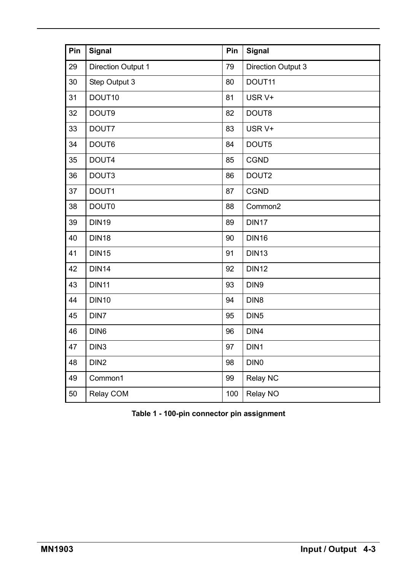| Pin | Signal             | Pin | Signal             |
|-----|--------------------|-----|--------------------|
| 29  | Direction Output 1 | 79  | Direction Output 3 |
| 30  | Step Output 3      | 80  | DOUT11             |
| 31  | DOUT10             | 81  | USR V+             |
| 32  | DOUT9              | 82  | DOUT8              |
| 33  | DOUT7              | 83  | USR V+             |
| 34  | DOUT6              | 84  | DOUT5              |
| 35  | DOUT4              | 85  | CGND               |
| 36  | DOUT3              | 86  | DOUT2              |
| 37  | DOUT1              | 87  | CGND               |
| 38  | DOUT0              | 88  | Common2            |
| 39  | <b>DIN19</b>       | 89  | DIN17              |
| 40  | <b>DIN18</b>       | 90  | <b>DIN16</b>       |
| 41  | <b>DIN15</b>       | 91  | <b>DIN13</b>       |
| 42  | <b>DIN14</b>       | 92  | <b>DIN12</b>       |
| 43  | <b>DIN11</b>       | 93  | DIN9               |
| 44  | <b>DIN10</b>       | 94  | DIN8               |
| 45  | DIN7               | 95  | DIN <sub>5</sub>   |
| 46  | DIN <sub>6</sub>   | 96  | DIN4               |
| 47  | DIN <sub>3</sub>   | 97  | DIN1               |
| 48  | DIN <sub>2</sub>   | 98  | DIN <sub>0</sub>   |
| 49  | Common1            | 99  | Relay NC           |
| 50  | Relay COM          | 100 | Relay NO           |

**Table 1 - 100-pin connector pin assignment**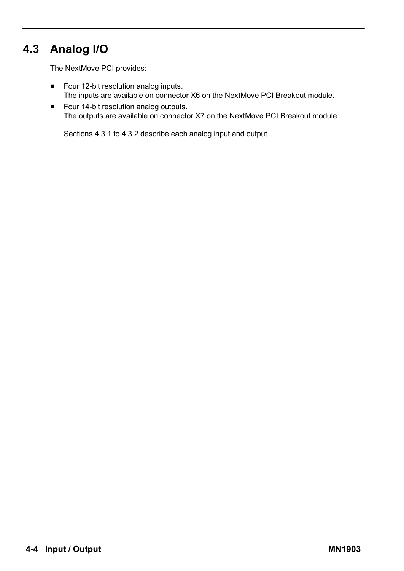### **4.3 Analog I/O**

The NextMove PCI provides:

- Four 12-bit resolution analog inputs. The inputs are available on connector X6 on the NextMove PCI Breakout module.
- Four 14-bit resolution analog outputs. The outputs are available on connector X7 on the NextMove PCI Breakout module.

Sections 4.3.1 to 4.3.2 describe each analog input and output.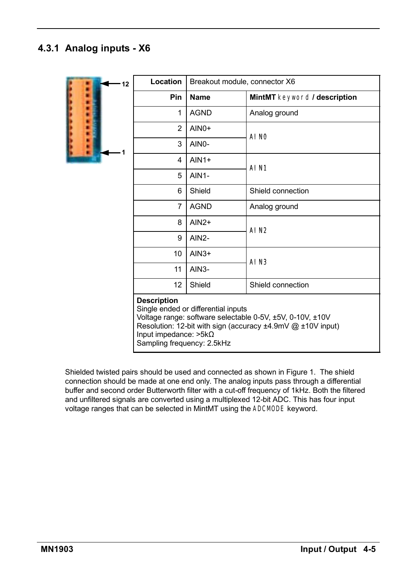#### **4.3.1 Analog inputs - X6**

| 12                     | Location                                                                         | Breakout module, connector X6       |                                                                                                                          |
|------------------------|----------------------------------------------------------------------------------|-------------------------------------|--------------------------------------------------------------------------------------------------------------------------|
|                        | <b>Pin</b>                                                                       | Name                                | MintMT keyword / description                                                                                             |
|                        | $\mathbf{1}$                                                                     | <b>AGND</b>                         | Analog ground                                                                                                            |
| <b>Address Address</b> | $\overline{2}$                                                                   | $AlNO+$                             | AI NO                                                                                                                    |
|                        | 3                                                                                | AIN0-                               |                                                                                                                          |
|                        | 4                                                                                | $AlN1+$                             | AIN1                                                                                                                     |
|                        | 5                                                                                | $AlN1-$                             |                                                                                                                          |
|                        | 6                                                                                | Shield                              | Shield connection                                                                                                        |
|                        | 7                                                                                | <b>AGND</b>                         | Analog ground                                                                                                            |
|                        | 8                                                                                | $AlN2+$                             | AIN <sub>2</sub>                                                                                                         |
|                        | 9                                                                                | AIN <sub>2</sub> -                  |                                                                                                                          |
|                        | 10                                                                               | $AlN3+$                             | AI <sub>N3</sub>                                                                                                         |
|                        | 11                                                                               | $AlN3-$                             |                                                                                                                          |
|                        | 12                                                                               | Shield                              | Shield connection                                                                                                        |
|                        | <b>Description</b><br>Input impedance: $>5k\Omega$<br>Sampling frequency: 2.5kHz | Single ended or differential inputs | Voltage range: software selectable 0-5V, ±5V, 0-10V, ±10V<br>Resolution: 12-bit with sign (accuracy ±4.9mV @ ±10V input) |

Shielded twisted pairs should be used and connected as shown in Figure 1. The shield connection should be made at one end only. The analog inputs pass through a differential buffer and second order Butterworth filter with a cut-off frequency of 1kHz. Both the filtered and unfiltered signals are converted using a multiplexed 12-bit ADC. This has four input voltage ranges that can be selected in MintMT using the ADCMODE keyword.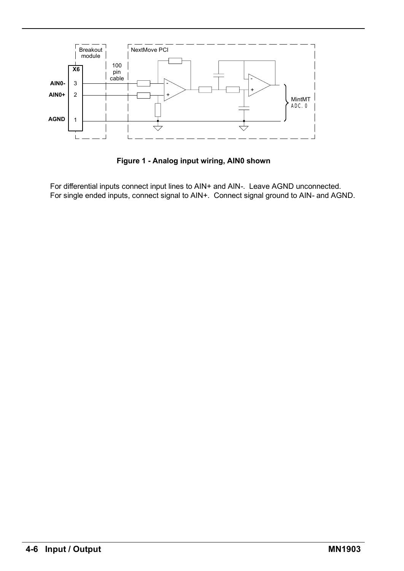

**Figure 1 - Analog input wiring, AIN0 shown**

For differential inputs connect input lines to AIN+ and AIN-. Leave AGND unconnected. For single ended inputs, connect signal to AIN+. Connect signal ground to AIN- and AGND.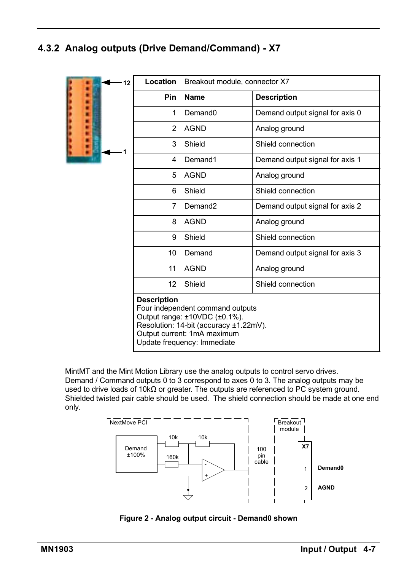### **4.3.2 Analog outputs (Drive Demand/Command) - X7**

| 12 | Location           | Breakout module, connector X7                                                                                                                                             |                                 |
|----|--------------------|---------------------------------------------------------------------------------------------------------------------------------------------------------------------------|---------------------------------|
|    | <b>Pin</b>         | Name                                                                                                                                                                      | <b>Description</b>              |
|    | 1                  | Demand <sub>0</sub>                                                                                                                                                       | Demand output signal for axis 0 |
|    | $\mathfrak{p}$     | <b>AGND</b>                                                                                                                                                               | Analog ground                   |
|    | 3                  | Shield                                                                                                                                                                    | Shield connection               |
|    | 4                  | Demand1                                                                                                                                                                   | Demand output signal for axis 1 |
|    | 5                  | <b>AGND</b>                                                                                                                                                               | Analog ground                   |
|    | 6                  | Shield                                                                                                                                                                    | Shield connection               |
|    | 7                  | Demand <sub>2</sub>                                                                                                                                                       | Demand output signal for axis 2 |
|    | 8                  | <b>AGND</b>                                                                                                                                                               | Analog ground                   |
|    | 9                  | Shield                                                                                                                                                                    | Shield connection               |
|    | 10                 | Demand                                                                                                                                                                    | Demand output signal for axis 3 |
|    | 11                 | <b>AGND</b>                                                                                                                                                               | Analog ground                   |
|    | 12                 | Shield                                                                                                                                                                    | Shield connection               |
|    | <b>Description</b> | Four independent command outputs<br>Output range: ±10VDC (±0.1%).<br>Resolution: 14-bit (accuracy ±1.22mV).<br>Output current: 1mA maximum<br>Update frequency: Immediate |                                 |

MintMT and the Mint Motion Library use the analog outputs to control servo drives. Demand / Command outputs 0 to 3 correspond to axes 0 to 3. The analog outputs may be used to drive loads of 10kΩ or greater. The outputs are referenced to PC system ground. Shielded twisted pair cable should be used. The shield connection should be made at one end only.



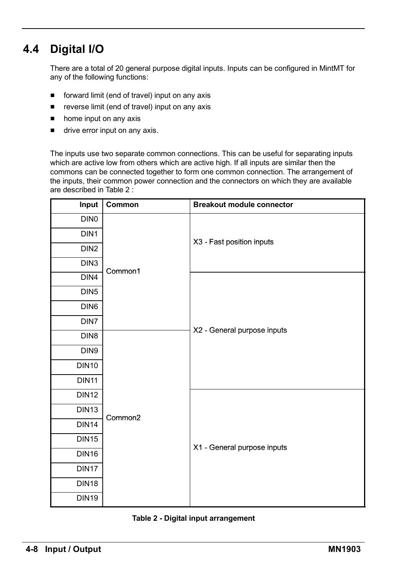### **4.4 Digital I/O**

There are a total of 20 general purpose digital inputs. Inputs can be configured in MintMT for any of the following functions:

- $\blacksquare$  forward limit (end of travel) input on any axis
- $\blacksquare$  reverse limit (end of travel) input on any axis
- $\blacksquare$  home input on any axis
- $\blacksquare$  drive error input on any axis.

The inputs use two separate common connections. This can be useful for separating inputs which are active low from others which are active high. If all inputs are similar then the commons can be connected together to form one common connection. The arrangement of the inputs, their common power connection and the connectors on which they are available are described in Table 2 :

| Input             | Common  | <b>Breakout module connector</b> |
|-------------------|---------|----------------------------------|
| DIN <sub>0</sub>  |         |                                  |
| DIN1              |         |                                  |
| DIN <sub>2</sub>  |         | X3 - Fast position inputs        |
| DIN3              |         |                                  |
| DIN4              | Common1 |                                  |
| DIN <sub>5</sub>  |         |                                  |
| DIN <sub>6</sub>  |         |                                  |
| DIN7              |         |                                  |
| DIN <sub>8</sub>  |         | X2 - General purpose inputs      |
| DIN9              |         |                                  |
| <b>DIN10</b>      |         |                                  |
| <b>DIN11</b>      |         |                                  |
| <b>DIN12</b>      |         |                                  |
| DIN <sub>13</sub> |         |                                  |
| <b>DIN14</b>      | Common2 |                                  |
| <b>DIN15</b>      |         |                                  |
| <b>DIN16</b>      |         | X1 - General purpose inputs      |
| DIN <sub>17</sub> |         |                                  |
| <b>DIN18</b>      |         |                                  |
| <b>DIN19</b>      |         |                                  |

#### **Table 2 - Digital input arrangement**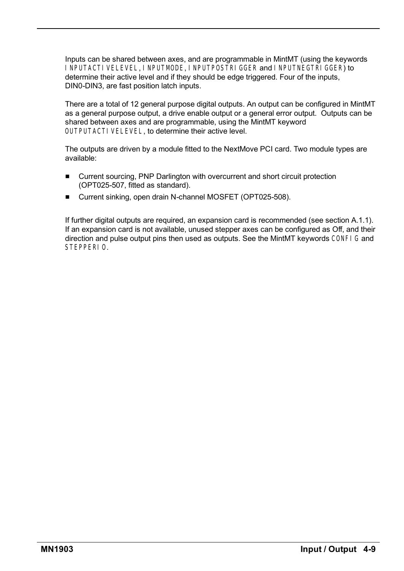Inputs can be shared between axes, and are programmable in MintMT (using the keywords I NPUTACTI VELEVEL, I NPUTMODE, I NPUTPOSTRI GGER and I NPUTNEGTRI GGER) to determine their active level and if they should be edge triggered. Four of the inputs, DIN0-DIN3, are fast position latch inputs.

There are a total of 12 general purpose digital outputs. An output can be configured in MintMT as a general purpose output, a drive enable output or a general error output. Outputs can be shared between axes and are programmable, using the MintMT keyword OUTPUTACTIVELEVEL, to determine their active level.

The outputs are driven by a module fitted to the NextMove PCI card. Two module types are available:

- Current sourcing, PNP Darlington with overcurrent and short circuit protection (OPT025-507, fitted as standard).
- Current sinking, open drain N-channel MOSFET (OPT025-508).

If further digital outputs are required, an expansion card is recommended (see section A.1.1). If an expansion card is not available, unused stepper axes can be configured as Off, and their direction and pulse output pins then used as outputs. See the MintMT keywords CONFIG and STEPPERIO.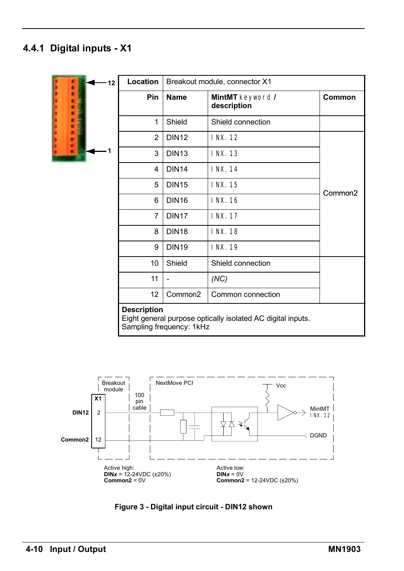### **4.4.1 Digital inputs - X1**

| 12 | <b>Location</b>    |                          | Breakout module, connector X1                               |                     |
|----|--------------------|--------------------------|-------------------------------------------------------------|---------------------|
|    | Pin                | <b>Name</b>              | MintMT keyword /<br>description                             | Common              |
|    | 1                  | Shield                   | Shield connection                                           |                     |
|    | $\overline{2}$     | <b>DIN12</b>             | INX. 12                                                     |                     |
|    | 3                  | <b>DIN13</b>             | INX. 13                                                     |                     |
|    | 4                  | <b>DIN14</b>             | INX. 14                                                     |                     |
|    | 5                  | <b>DIN15</b>             | INX. 15                                                     | Common <sub>2</sub> |
|    | 6                  | <b>DIN16</b>             | <b>INX. 16</b>                                              |                     |
|    | $\overline{7}$     | <b>DIN17</b>             | <b>INX. 17</b>                                              |                     |
|    | 8                  | <b>DIN18</b>             | <b>INX. 18</b>                                              |                     |
|    | 9                  | <b>DIN19</b>             | INX. 19                                                     |                     |
|    | 10                 | Shield                   | Shield connection                                           |                     |
|    | 11                 | $\overline{a}$           | (NC)                                                        |                     |
|    | 12                 | Common <sub>2</sub>      | Common connection                                           |                     |
|    | <b>Description</b> | Sampling frequency: 1kHz | Eight general purpose optically isolated AC digital inputs. |                     |



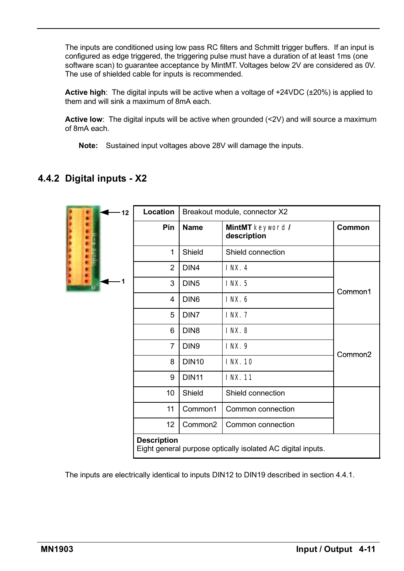The inputs are conditioned using low pass RC filters and Schmitt trigger buffers. If an input is configured as edge triggered, the triggering pulse must have a duration of at least 1ms (one software scan) to guarantee acceptance by MintMT. Voltages below 2V are considered as 0V. The use of shielded cable for inputs is recommended.

**Active high**: The digital inputs will be active when a voltage of +24VDC (±20%) is applied to them and will sink a maximum of 8mA each.

**Active low**: The digital inputs will be active when grounded (<2V) and will source a maximum of 8mA each.

**Note:** Sustained input voltages above 28V will damage the inputs.

#### **4.4.2 Digital inputs - X2**

| 12 <sup>2</sup>                                                                   | Location       |                     | Breakout module, connector X2   |                     |  |  |  |
|-----------------------------------------------------------------------------------|----------------|---------------------|---------------------------------|---------------------|--|--|--|
|                                                                                   | Pin            | <b>Name</b>         | MintMT keyword /<br>description | Common              |  |  |  |
|                                                                                   | 1              | Shield              | Shield connection               |                     |  |  |  |
|                                                                                   | $\overline{2}$ | DIN4                | <b>INX. 4</b>                   |                     |  |  |  |
|                                                                                   | 3              | DIN <sub>5</sub>    | I NX. 5                         | Common1             |  |  |  |
|                                                                                   | 4              | DIN <sub>6</sub>    | INX.6                           |                     |  |  |  |
|                                                                                   | 5              | DIN7                | <b>INX. 7</b>                   |                     |  |  |  |
|                                                                                   | 6              | DIN <sub>8</sub>    | <b>INX.8</b>                    |                     |  |  |  |
|                                                                                   | $\overline{7}$ | DIN <sub>9</sub>    | INX. 9                          | Common <sub>2</sub> |  |  |  |
|                                                                                   | 8              | <b>DIN10</b>        | INX.10                          |                     |  |  |  |
|                                                                                   | 9              | <b>DIN11</b>        | INX. 11                         |                     |  |  |  |
|                                                                                   | 10             | Shield              | Shield connection               |                     |  |  |  |
|                                                                                   | 11             | Common1             | Common connection               |                     |  |  |  |
|                                                                                   | 12             | Common <sub>2</sub> | Common connection               |                     |  |  |  |
| <b>Description</b><br>Eight general purpose optically isolated AC digital inputs. |                |                     |                                 |                     |  |  |  |

The inputs are electrically identical to inputs DIN12 to DIN19 described in section 4.4.1.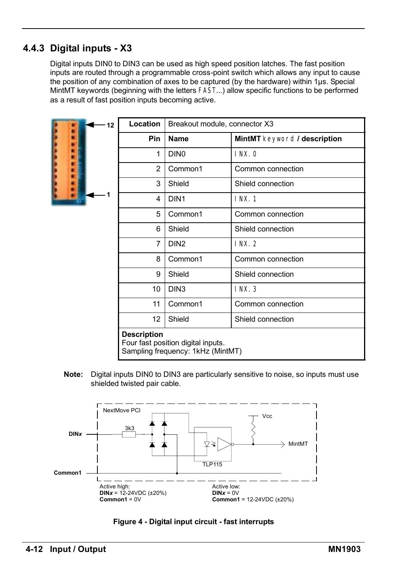#### **4.4.3 Digital inputs - X3**

Digital inputs DIN0 to DIN3 can be used as high speed position latches. The fast position inputs are routed through a programmable cross-point switch which allows any input to cause the position of any combination of axes to be captured (by the hardware) within 1µs. Special MintMT keywords (beginning with the letters FAST...) allow specific functions to be performed as a result of fast position inputs becoming active.



| 12  | Location                                                                                      | Breakout module, connector X3 |                              |  |  |
|-----|-----------------------------------------------------------------------------------------------|-------------------------------|------------------------------|--|--|
|     | <b>Pin</b>                                                                                    | Name                          | MintMT keyword / description |  |  |
|     | 1                                                                                             | DIN <sub>0</sub>              | INX.0                        |  |  |
|     | $\mathfrak{p}$                                                                                | Common1                       | Common connection            |  |  |
|     | 3                                                                                             | Shield                        | Shield connection            |  |  |
| - 1 | 4                                                                                             | DIN <sub>1</sub>              | INX.1                        |  |  |
|     | 5                                                                                             | Common1                       | Common connection            |  |  |
|     | 6                                                                                             | Shield                        | Shield connection            |  |  |
|     | 7                                                                                             | DIN <sub>2</sub>              | INX.2                        |  |  |
|     | 8                                                                                             | Common1                       | Common connection            |  |  |
|     | 9                                                                                             | Shield                        | Shield connection            |  |  |
|     | 10                                                                                            | DIN <sub>3</sub>              | <b>INX. 3</b>                |  |  |
|     | 11                                                                                            | Common1                       | Common connection            |  |  |
|     | 12                                                                                            | Shield                        | Shield connection            |  |  |
|     | <b>Description</b><br>Four fast position digital inputs.<br>Sampling frequency: 1kHz (MintMT) |                               |                              |  |  |

**Note:** Digital inputs DIN0 to DIN3 are particularly sensitive to noise, so inputs must use shielded twisted pair cable.



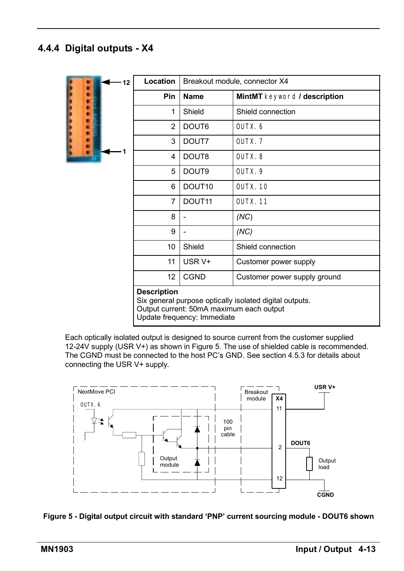### **4.4.4 Digital outputs - X4**



Each optically isolated output is designed to source current from the customer supplied 12-24V supply (USR V+) as shown in Figure 5. The use of shielded cable is recommended. The CGND must be connected to the host PC's GND. See section 4.5.3 for details about connecting the USR V+ supply.



**Figure 5 - Digital output circuit with standard ëPNPí current sourcing module - DOUT6 shown**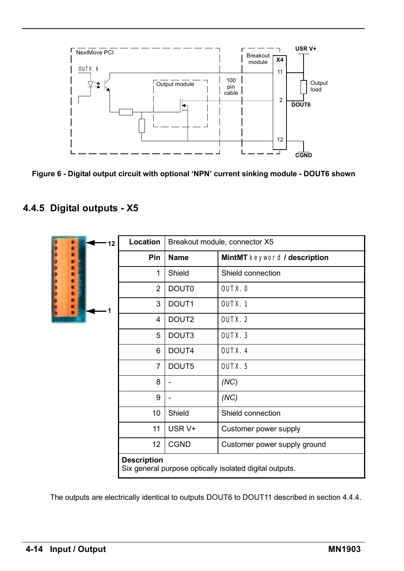

Figure 6 - Digital output circuit with optional 'NPN' current sinking module - DOUT6 shown

#### **4.4.5 Digital outputs - X5**

| 12 | Location           | Breakout module, connector X5                           |                              |  |  |
|----|--------------------|---------------------------------------------------------|------------------------------|--|--|
|    | Pin                | <b>Name</b>                                             | MintMT keyword / description |  |  |
|    | 1                  | Shield                                                  | Shield connection            |  |  |
|    | 2                  | <b>DOUT0</b>                                            | OUTX. 0                      |  |  |
|    | 3                  | DOUT <sub>1</sub>                                       | OUTX <sub>.1</sub>           |  |  |
|    | 4                  | DOUT <sub>2</sub>                                       | OUTX. 2                      |  |  |
|    | 5                  | DOUT3                                                   | OUTX <sub>3</sub>            |  |  |
|    | 6                  | DOUT4                                                   | OUTX <sub>.</sub> 4          |  |  |
|    | $\overline{7}$     | DOUT5                                                   | OUTX <sub>5</sub>            |  |  |
|    | 8                  |                                                         | (NC)                         |  |  |
|    | 9                  |                                                         | (NC)                         |  |  |
|    | 10                 | Shield                                                  | Shield connection            |  |  |
|    | 11                 | USR V+                                                  | Customer power supply        |  |  |
|    | 12                 | <b>CGND</b>                                             | Customer power supply ground |  |  |
|    | <b>Description</b> | Six general purpose optically isolated digital outputs. |                              |  |  |

The outputs are electrically identical to outputs DOUT6 to DOUT11 described in section 4.4.4.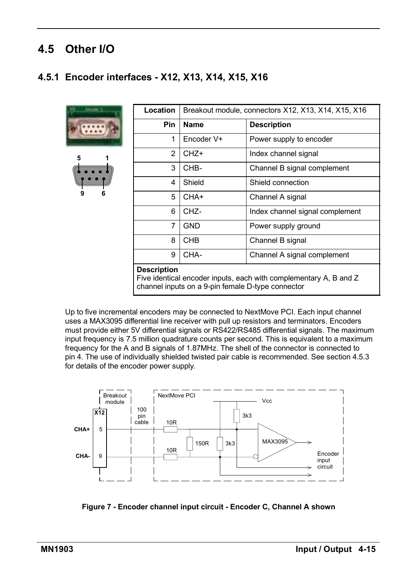### **4.5 Other I/O**

### **4.5.1 Encoder interfaces - X12, X13, X14, X15, X16**





| Location                                                                                | Breakout module, connectors X12, X13, X14, X15, X16 |                                 |  |  |
|-----------------------------------------------------------------------------------------|-----------------------------------------------------|---------------------------------|--|--|
| <b>Pin</b>                                                                              | Name                                                | <b>Description</b>              |  |  |
| 1                                                                                       | Encoder V+                                          | Power supply to encoder         |  |  |
| 2                                                                                       | CHZ+                                                | Index channel signal            |  |  |
| 3                                                                                       | CHB-                                                | Channel B signal complement     |  |  |
| 4                                                                                       | Shield                                              | Shield connection               |  |  |
| 5                                                                                       | CHA+                                                | Channel A signal                |  |  |
| 6                                                                                       | CHZ-                                                | Index channel signal complement |  |  |
| 7                                                                                       | <b>GND</b>                                          | Power supply ground             |  |  |
| 8                                                                                       | CHB                                                 | Channel B signal                |  |  |
| 9                                                                                       | CHA-                                                | Channel A signal complement     |  |  |
| <b>Description</b><br>Five identical encoder inputs, each with complementary A, B and Z |                                                     |                                 |  |  |

channel inputs on a 9-pin female D-type connector

Up to five incremental encoders may be connected to NextMove PCI. Each input channel uses a MAX3095 differential line receiver with pull up resistors and terminators. Encoders must provide either 5V differential signals or RS422/RS485 differential signals. The maximum input frequency is 7.5 million quadrature counts per second. This is equivalent to a maximum frequency for the A and B signals of 1.87MHz. The shell of the connector is connected to pin 4. The use of individually shielded twisted pair cable is recommended. See section 4.5.3 for details of the encoder power supply.



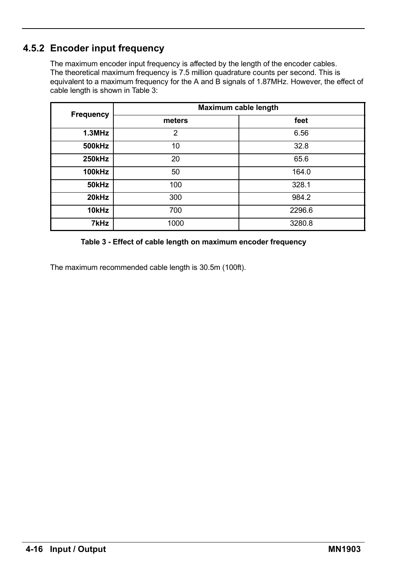### **4.5.2 Encoder input frequency**

The maximum encoder input frequency is affected by the length of the encoder cables. The theoretical maximum frequency is 7.5 million quadrature counts per second. This is equivalent to a maximum frequency for the A and B signals of 1.87MHz. However, the effect of cable length is shown in Table 3:

| <b>Frequency</b> |        | Maximum cable length |
|------------------|--------|----------------------|
|                  | meters | feet                 |
| $1.3$ MHz        | 2      | 6.56                 |
| 500kHz           | 10     | 32.8                 |
| <b>250kHz</b>    | 20     | 65.6                 |
| <b>100kHz</b>    | 50     | 164.0                |
| 50kHz            | 100    | 328.1                |
| 20kHz            | 300    | 984.2                |
| 10kHz            | 700    | 2296.6               |
| 7kHz             | 1000   | 3280.8               |

#### **Table 3 - Effect of cable length on maximum encoder frequency**

The maximum recommended cable length is 30.5m (100ft).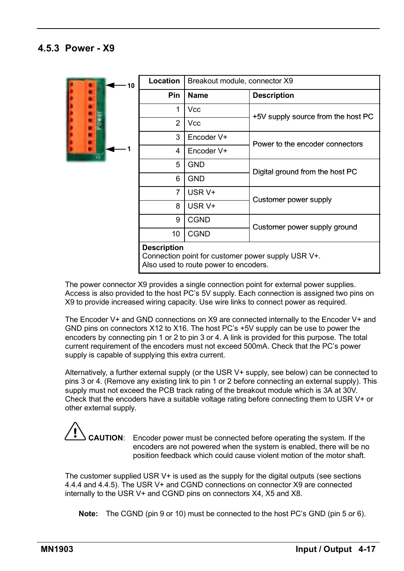#### **4.5.3 Power - X9**



The power connector X9 provides a single connection point for external power supplies. Access is also provided to the host PC's 5V supply. Each connection is assigned two pins on X9 to provide increased wiring capacity. Use wire links to connect power as required.

The Encoder V+ and GND connections on X9 are connected internally to the Encoder V+ and GND pins on connectors X12 to X16. The host PC's +5V supply can be use to power the encoders by connecting pin 1 or 2 to pin 3 or 4. A link is provided for this purpose. The total current requirement of the encoders must not exceed 500mA. Check that the PC's power supply is capable of supplying this extra current.

Alternatively, a further external supply (or the USR V+ supply, see below) can be connected to pins 3 or 4. (Remove any existing link to pin 1 or 2 before connecting an external supply). This supply must not exceed the PCB track rating of the breakout module which is 3A at 30V. Check that the encoders have a suitable voltage rating before connecting them to USR V+ or other external supply.

**CAUTION**: Encoder power must be connected before operating the system. If the encoders are not powered when the system is enabled, there will be no position feedback which could cause violent motion of the motor shaft.

The customer supplied USR V+ is used as the supply for the digital outputs (see sections 4.4.4 and 4.4.5). The USR V+ and CGND connections on connector X9 are connected internally to the USR V+ and CGND pins on connectors X4, X5 and X8.

**Note:** The CGND (pin 9 or 10) must be connected to the host PC's GND (pin 5 or 6).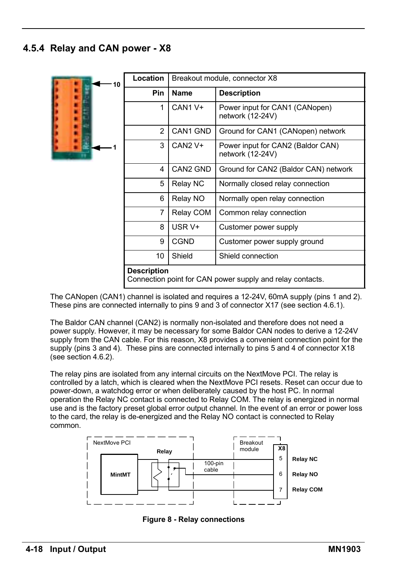#### **4.5.4 Relay and CAN power - X8**

| 10 | <b>Location</b>                                                                 |                     | Breakout module, connector X8                         |  |
|----|---------------------------------------------------------------------------------|---------------------|-------------------------------------------------------|--|
|    | <b>Pin</b>                                                                      | Name                | <b>Description</b>                                    |  |
|    | 1                                                                               | CAN1 V+             | Power input for CAN1 (CANopen)<br>network (12-24V)    |  |
|    | 2                                                                               | CAN1 GND            | Ground for CAN1 (CANopen) network                     |  |
|    | 3                                                                               | CAN <sub>2</sub> V+ | Power input for CAN2 (Baldor CAN)<br>network (12-24V) |  |
|    | 4                                                                               | CAN2 GND            | Ground for CAN2 (Baldor CAN) network                  |  |
|    | 5                                                                               | Relay NC            | Normally closed relay connection                      |  |
|    | 6                                                                               | Relay NO            | Normally open relay connection                        |  |
|    | 7                                                                               | Relay COM           | Common relay connection                               |  |
|    | 8                                                                               | USR V+              | Customer power supply                                 |  |
|    | 9                                                                               | CGND                | Customer power supply ground                          |  |
|    | 10                                                                              | Shield              | Shield connection                                     |  |
|    | <b>Description</b><br>Connection point for CAN power supply and relay contacts. |                     |                                                       |  |

The CANopen (CAN1) channel is isolated and requires a 12-24V, 60mA supply (pins 1 and 2). These pins are connected internally to pins 9 and 3 of connector X17 (see section 4.6.1).

The Baldor CAN channel (CAN2) is normally non-isolated and therefore does not need a power supply. However, it may be necessary for some Baldor CAN nodes to derive a 12-24V supply from the CAN cable. For this reason, X8 provides a convenient connection point for the supply (pins 3 and 4). These pins are connected internally to pins 5 and 4 of connector X18 (see section 4.6.2).

The relay pins are isolated from any internal circuits on the NextMove PCI. The relay is controlled by a latch, which is cleared when the NextMove PCI resets. Reset can occur due to power-down, a watchdog error or when deliberately caused by the host PC. In normal operation the Relay NC contact is connected to Relay COM. The relay is energized in normal use and is the factory preset global error output channel. In the event of an error or power loss to the card, the relay is de-energized and the Relay NO contact is connected to Relay common.



**Figure 8 - Relay connections**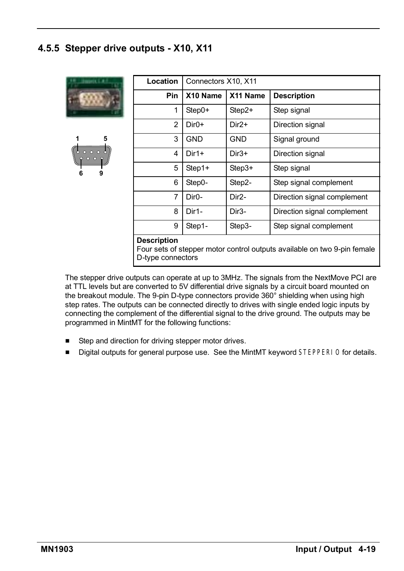#### **4.5.5 Stepper drive outputs - X10, X11**

| <b>Materia</b> E.A     | Location                                |                    | Connectors X10, X11 |                                                                          |  |  |
|------------------------|-----------------------------------------|--------------------|---------------------|--------------------------------------------------------------------------|--|--|
|                        | <b>Pin</b>                              | X10 Name           | X11 Name            | <b>Description</b>                                                       |  |  |
|                        | 1                                       | Step0+             | $Step 2+$           | Step signal                                                              |  |  |
|                        | 2                                       | $Dir0+$            | Dir <sub>2+</sub>   | Direction signal                                                         |  |  |
| 5                      | 3                                       | <b>GND</b>         | <b>GND</b>          | Signal ground                                                            |  |  |
| 0000<br>0 <sub>0</sub> | 4                                       | $Dir1+$            | $Dir3+$             | Direction signal                                                         |  |  |
| 9<br>6                 | 5                                       | Step1+             | $Step 3+$           | Step signal                                                              |  |  |
|                        | 6                                       | Step0-             | Step2-              | Step signal complement                                                   |  |  |
|                        | 7                                       | Dir <sub>0</sub> - | Dir <sub>2</sub> -  | Direction signal complement                                              |  |  |
|                        | 8                                       | Dir1-              | Dir3-               | Direction signal complement                                              |  |  |
|                        | 9                                       | Step1-             | Step3-              | Step signal complement                                                   |  |  |
|                        | <b>Description</b><br>D-type connectors |                    |                     | Four sets of stepper motor control outputs available on two 9-pin female |  |  |

The stepper drive outputs can operate at up to 3MHz. The signals from the NextMove PCI are at TTL levels but are converted to 5V differential drive signals by a circuit board mounted on the breakout module. The 9-pin D-type connectors provide 360° shielding when using high step rates. The outputs can be connected directly to drives with single ended logic inputs by connecting the complement of the differential signal to the drive ground. The outputs may be programmed in MintMT for the following functions:

- Step and direction for driving stepper motor drives.
- Digital outputs for general purpose use. See the MintMT keyword STEPPERIO for details.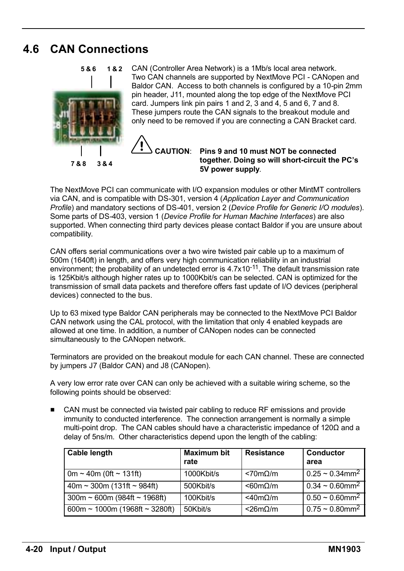### **4.6 CAN Connections**

**5&6**



CAN (Controller Area Network) is a 1Mb/s local area network. Two CAN channels are supported by NextMove PCI - CANopen and Baldor CAN. Access to both channels is configured by a 10-pin 2mm pin header, J11, mounted along the top edge of the NextMove PCI card. Jumpers link pin pairs 1 and 2, 3 and 4, 5 and 6, 7 and 8. These jumpers route the CAN signals to the breakout module and only need to be removed if you are connecting a CAN Bracket card. **1&2**



**CAUTION**: **Pins 9 and 10 must NOT be connected together. Doing so will short-circuit the PCís 5V power supply**.

The NextMove PCI can communicate with I/O expansion modules or other MintMT controllers via CAN, and is compatible with DS-301, version 4 (*Application Layer and Communication Profile*) and mandatory sections of DS-401, version 2 (*Device Profile for Generic I/O modules*). Some parts of DS-403, version 1 (*Device Profile for Human Machine Interfaces*) are also supported. When connecting third party devices please contact Baldor if you are unsure about compatibility.

CAN offers serial communications over a two wire twisted pair cable up to a maximum of 500m (1640ft) in length, and offers very high communication reliability in an industrial environment; the probability of an undetected error is  $4.7x10^{-11}$ . The default transmission rate is 125Kbit/s although higher rates up to 1000Kbit/s can be selected. CAN is optimized for the transmission of small data packets and therefore offers fast update of I/O devices (peripheral devices) connected to the bus.

Up to 63 mixed type Baldor CAN peripherals may be connected to the NextMove PCI Baldor CAN network using the CAL protocol, with the limitation that only 4 enabled keypads are allowed at one time. In addition, a number of CANopen nodes can be connected simultaneously to the CANopen network.

Terminators are provided on the breakout module for each CAN channel. These are connected by jumpers J7 (Baldor CAN) and J8 (CANopen).

A very low error rate over CAN can only be achieved with a suitable wiring scheme, so the following points should be observed:

■ CAN must be connected via twisted pair cabling to reduce RF emissions and provide immunity to conducted interference. The connection arrangement is normally a simple multi-point drop. The CAN cables should have a characteristic impedance of 120 $\Omega$  and a delay of 5ns/m. Other characteristics depend upon the length of the cabling:

| Cable length                      | <b>Maximum bit</b><br>rate | <b>Resistance</b>        | Conductor<br>area                         |
|-----------------------------------|----------------------------|--------------------------|-------------------------------------------|
| 0m ~ 40m (0ft ~ 131ft)            | 1000Kbit/s                 | <70m <sub>Omega</sub> /m | $0.25 \sim 0.34$ mm <sup>2</sup>          |
| $40m \sim 300m$ (131ft ~ 984ft)   | 500Kbit/s                  | $< 60 m\Omega/m$         | $0.34 \sim 0.60$ mm <sup>2</sup>          |
| $300m \sim 600m$ (984ft ~ 1968ft) | 100Kbit/s                  | $<$ 40m $\Omega$ /m      | $0.50 \sim 0.60$ $\overline{\text{mm}^2}$ |
| 600m ~ 1000m (1968ft ~ 3280ft)    | 50Kbit/s                   | $<$ 26m $\Omega$ /m      | $0.75 \sim 0.80$ mm <sup>2</sup>          |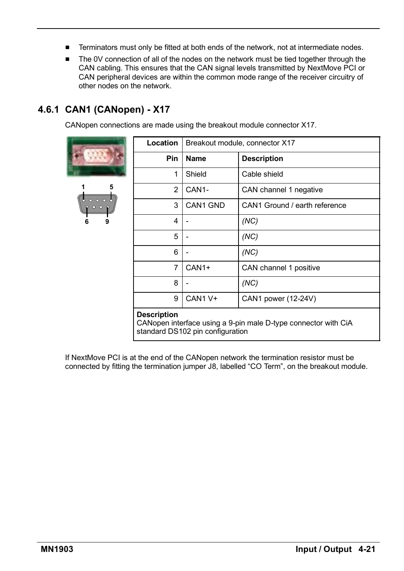- Terminators must only be fitted at both ends of the network, not at intermediate nodes.
- The 0V connection of all of the nodes on the network must be tied together through the CAN cabling. This ensures that the CAN signal levels transmitted by NextMove PCI or CAN peripheral devices are within the common mode range of the receiver circuitry of other nodes on the network.

## **4.6.1 CAN1 (CANopen) - X17**

CANopen connections are made using the breakout module connector X17.

| 1<br>$\circ$<br>$\frac{1}{6}$ | 5<br>$\bullet\hspace{0.4mm} \bullet\hspace{0.4mm} \bullet\hspace{0.4mm} \bullet$<br>O<br>۱<br>و |
|-------------------------------|-------------------------------------------------------------------------------------------------|

|                                | Location           | Breakout module, connector X17   |                                                                |  |
|--------------------------------|--------------------|----------------------------------|----------------------------------------------------------------|--|
|                                | Pin                | Name                             | <b>Description</b>                                             |  |
|                                | 1                  | Shield                           | Cable shield                                                   |  |
| 5                              | 2                  | CAN <sub>1</sub> -               | CAN channel 1 negative                                         |  |
| $\circ$ $\circ$ $\circ$<br>000 | 3                  | CAN1 GND                         | CAN1 Ground / earth reference                                  |  |
| 9                              | 4                  |                                  | (NC)                                                           |  |
|                                | 5                  |                                  | (NC)                                                           |  |
|                                | 6                  |                                  | (NC)                                                           |  |
|                                | 7                  | CAN <sub>1+</sub>                | CAN channel 1 positive                                         |  |
|                                | 8                  |                                  | (NC)                                                           |  |
|                                | 9                  | CAN1 V+                          | CAN1 power (12-24V)                                            |  |
|                                | <b>Description</b> | standard DS102 pin configuration | CANopen interface using a 9-pin male D-type connector with CiA |  |

If NextMove PCI is at the end of the CANopen network the termination resistor must be connected by fitting the termination jumper J8, labelled "CO Term", on the breakout module.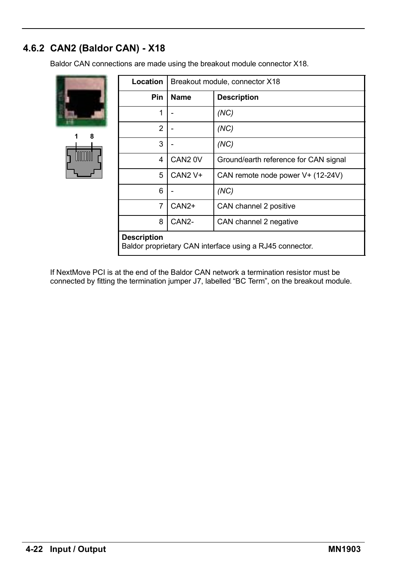## **4.6.2 CAN2 (Baldor CAN) - X18**

Baldor CAN connections are made using the breakout module connector X18.

| 1 | 8<br>boom |  |
|---|-----------|--|

| Location                                                                       | Breakout module, connector X18 |                                       |
|--------------------------------------------------------------------------------|--------------------------------|---------------------------------------|
| Pin                                                                            | <b>Name</b>                    | <b>Description</b>                    |
| 1                                                                              |                                | (NC)                                  |
| 2                                                                              |                                | (NC)                                  |
| 3                                                                              |                                | (NC)                                  |
| 4                                                                              | CAN <sub>2</sub> OV            | Ground/earth reference for CAN signal |
| 5                                                                              | CAN <sub>2</sub> V+            | CAN remote node power V+ (12-24V)     |
| 6                                                                              |                                | (NC)                                  |
| 7                                                                              | CAN <sub>2+</sub>              | CAN channel 2 positive                |
| 8                                                                              | CAN <sub>2</sub> -             | CAN channel 2 negative                |
| <b>Description</b><br>Baldor proprietary CAN interface using a RJ45 connector. |                                |                                       |

If NextMove PCI is at the end of the Baldor CAN network a termination resistor must be connected by fitting the termination jumper J7, labelled "BC Term", on the breakout module.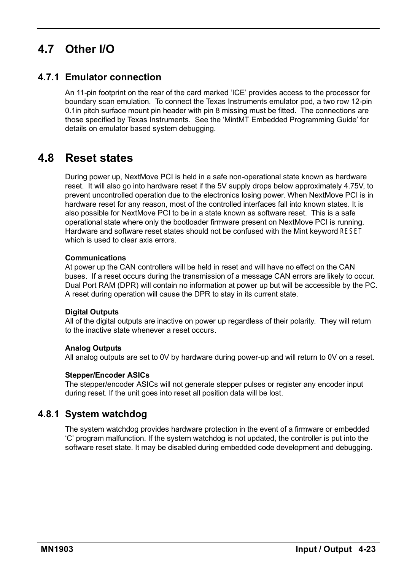# **4.7 Other I/O**

### **4.7.1 Emulator connection**

An 11-pin footprint on the rear of the card marked 'ICE' provides access to the processor for boundary scan emulation. To connect the Texas Instruments emulator pod, a two row 12-pin 0.1in pitch surface mount pin header with pin 8 missing must be fitted. The connections are those specified by Texas Instruments. See the ëMintMT Embedded Programming Guideí for details on emulator based system debugging.

## **4.8 Reset states**

During power up, NextMove PCI is held in a safe non-operational state known as hardware reset. It will also go into hardware reset if the 5V supply drops below approximately 4.75V, to prevent uncontrolled operation due to the electronics losing power. When NextMove PCI is in hardware reset for any reason, most of the controlled interfaces fall into known states. It is also possible for NextMove PCI to be in a state known as software reset. This is a safe operational state where only the bootloader firmware present on NextMove PCI is running. Hardware and software reset states should not be confused with the Mint keyword RESET which is used to clear axis errors.

#### **Communications**

At power up the CAN controllers will be held in reset and will have no effect on the CAN buses. If a reset occurs during the transmission of a message CAN errors are likely to occur. Dual Port RAM (DPR) will contain no information at power up but will be accessible by the PC. A reset during operation will cause the DPR to stay in its current state.

#### **Digital Outputs**

All of the digital outputs are inactive on power up regardless of their polarity. They will return to the inactive state whenever a reset occurs.

#### **Analog Outputs**

All analog outputs are set to 0V by hardware during power-up and will return to 0V on a reset.

#### **Stepper/Encoder ASICs**

The stepper/encoder ASICs will not generate stepper pulses or register any encoder input during reset. If the unit goes into reset all position data will be lost.

#### **4.8.1 System watchdog**

The system watchdog provides hardware protection in the event of a firmware or embedded ëCí program malfunction. If the system watchdog is not updated, the controller is put into the software reset state. It may be disabled during embedded code development and debugging.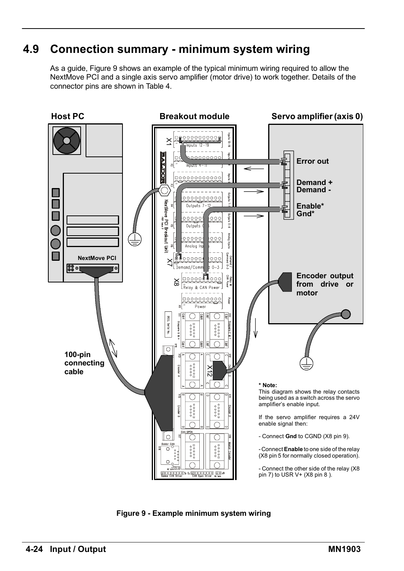# **4.9 Connection summary - minimum system wiring**

As a guide, Figure 9 shows an example of the typical minimum wiring required to allow the NextMove PCI and a single axis servo amplifier (motor drive) to work together. Details of the connector pins are shown in Table 4.



**Figure 9 - Example minimum system wiring**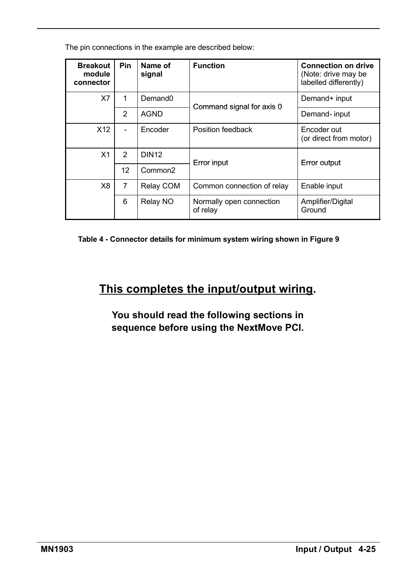The pin connections in the example are described below:

| <b>Breakout</b><br>module<br>connector | Pin                          | Name of<br>signal   | <b>Function</b>                      | <b>Connection on drive</b><br>(Note: drive may be<br>labelled differently) |
|----------------------------------------|------------------------------|---------------------|--------------------------------------|----------------------------------------------------------------------------|
| X7                                     | 1                            | Demand <sub>0</sub> | Command signal for axis 0            | Demand+ input                                                              |
|                                        | $\overline{2}$               | <b>AGND</b>         |                                      | Demand- input                                                              |
| X <sub>12</sub>                        | $\qquad \qquad \blacksquare$ | Encoder             | Position feedback                    | Encoder out<br>(or direct from motor)                                      |
| X <sub>1</sub>                         | $\mathcal{P}$                | <b>DIN12</b>        | Error input                          | Error output                                                               |
|                                        | 12                           | Common <sub>2</sub> |                                      |                                                                            |
| X8                                     | 7                            | Relay COM           | Common connection of relay           | Enable input                                                               |
|                                        | 6                            | Relay NO            | Normally open connection<br>of relay | Amplifier/Digital<br>Ground                                                |

**Table 4 - Connector details for minimum system wiring shown in Figure 9**

# **This completes the input/output wiring.**

**You should read the following sections in sequence before using the NextMove PCI.**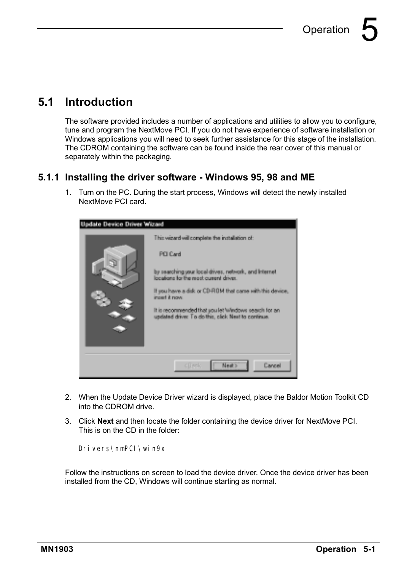# **5.1 Introduction**

The software provided includes a number of applications and utilities to allow you to configure, tune and program the NextMove PCI. If you do not have experience of software installation or Windows applications you will need to seek further assistance for this stage of the installation. The CDROM containing the software can be found inside the rear cover of this manual or separately within the packaging.

#### **5.1.1 Installing the driver software - Windows 95, 98 and ME**

1. Turn on the PC. During the start process, Windows will detect the newly installed NextMove PCI card.



- 2. When the Update Device Driver wizard is displayed, place the Baldor Motion Toolkit CD into the CDROM drive.
- 3. Click **Next** and then locate the folder containing the device driver for NextMove PCI. This is on the CD in the folder:

Drivers\nmPCI\win9x

Follow the instructions on screen to load the device driver. Once the device driver has been installed from the CD, Windows will continue starting as normal.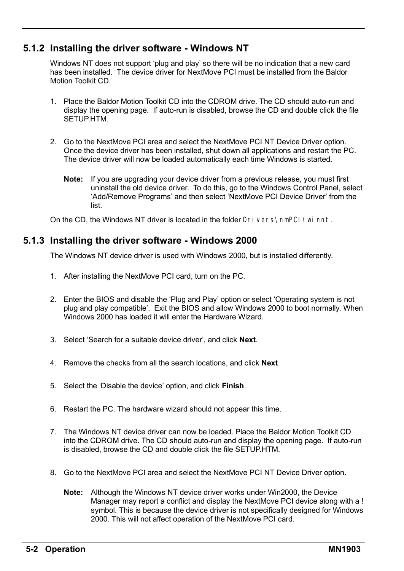### **5.1.2 Installing the driver software - Windows NT**

Windows NT does not support 'plug and play' so there will be no indication that a new card has been installed. The device driver for NextMove PCI must be installed from the Baldor Motion Toolkit CD.

- 1. Place the Baldor Motion Toolkit CD into the CDROM drive. The CD should auto-run and display the opening page. If auto-run is disabled, browse the CD and double click the file SETUP HTM
- 2. Go to the NextMove PCI area and select the NextMove PCI NT Device Driver option. Once the device driver has been installed, shut down all applications and restart the PC. The device driver will now be loaded automatically each time Windows is started.
	- **Note:** If you are upgrading your device driver from a previous release, you must first uninstall the old device driver. To do this, go to the Windows Control Panel, select ëAdd/Remove Programsí and then select ëNextMove PCI Device Driverí from the list.

On the CD, the Windows NT driver is located in the folder Drivers\nmPCI\winnt.

#### **5.1.3 Installing the driver software - Windows 2000**

The Windows NT device driver is used with Windows 2000, but is installed differently.

- 1. After installing the NextMove PCI card, turn on the PC.
- 2. Enter the BIOS and disable the 'Plug and Play' option or select 'Operating system is not plug and play compatibleí. Exit the BIOS and allow Windows 2000 to boot normally. When Windows 2000 has loaded it will enter the Hardware Wizard.
- 3. Select 'Search for a suitable device driver', and click **Next**.
- 4. Remove the checks from all the search locations, and click **Next**.
- 5. Select the ëDisable the deviceí option, and click **Finish**.
- 6. Restart the PC. The hardware wizard should not appear this time.
- 7. The Windows NT device driver can now be loaded. Place the Baldor Motion Toolkit CD into the CDROM drive. The CD should auto-run and display the opening page. If auto-run is disabled, browse the CD and double click the file SETUP.HTM.
- 8. Go to the NextMove PCI area and select the NextMove PCI NT Device Driver option.
	- **Note:** Although the Windows NT device driver works under Win2000, the Device Manager may report a conflict and display the NextMove PCI device along with a ! symbol. This is because the device driver is not specifically designed for Windows 2000. This will not affect operation of the NextMove PCI card.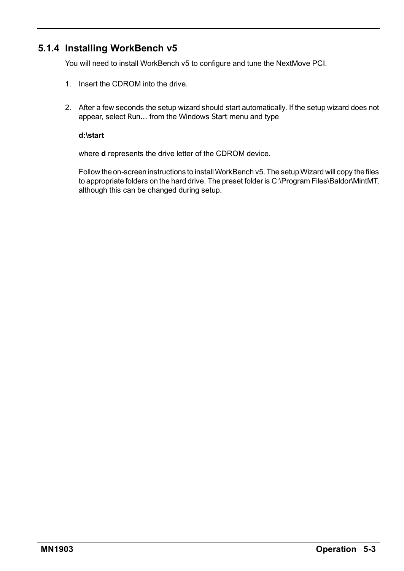### **5.1.4 Installing WorkBench v5**

You will need to install WorkBench v5 to configure and tune the NextMove PCI.

- 1. Insert the CDROM into the drive.
- 2. After a few seconds the setup wizard should start automatically. If the setup wizard does not appear, select Run... from the Windows Start menu and type

#### **d:\start**

where **d** represents the drive letter of the CDROM device.

Follow the on-screen instructions to install WorkBench v5. The setup Wizard will copy the files to appropriate folders on the hard drive. The preset folder is C:\Program Files\Baldor\MintMT, although this can be changed during setup.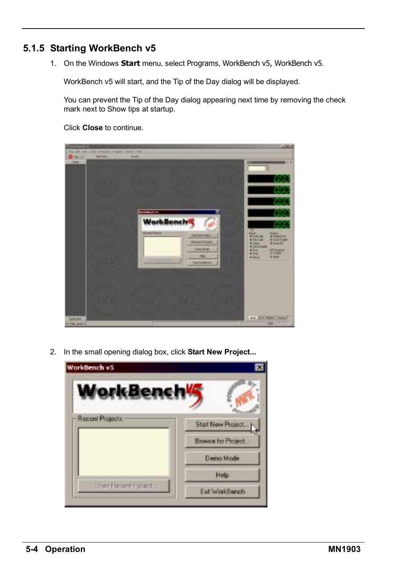### **5.1.5 Starting WorkBench v5**

1. On the Windows **Start** menu, select Programs, WorkBench v5, WorkBench v5.

WorkBench v5 will start, and the Tip of the Day dialog will be displayed.

You can prevent the Tip of the Day dialog appearing next time by removing the check mark next to Show tips at startup.

Click **Close** to continue.



2. In the small opening dialog box, click **Start New Project...**

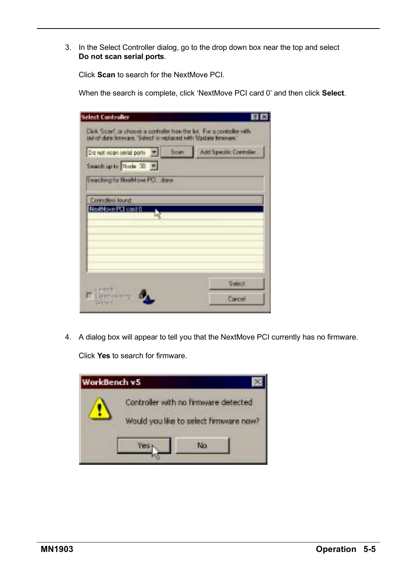3. In the Select Controller dialog, go to the drop down box near the top and select **Do not scan serial ports**.

Click **Scan** to search for the NextMove PCI.

When the search is complete, click 'NextMove PCI card 0' and then click **Select**.

| Do not soan serial porte and Scient<br>Search up to Node 30 = | Add Specific Controller |
|---------------------------------------------------------------|-------------------------|
| Searching for NewMovie PLT. dane                              |                         |
| Conciliers lound                                              |                         |
| NeiMove PCI card 0                                            |                         |
|                                                               |                         |
|                                                               |                         |
|                                                               |                         |
| Legridi.<br>Communicazi                                       | Gelect                  |
|                                                               |                         |

4. A dialog box will appear to tell you that the NextMove PCI currently has no firmware.

Click **Yes** to search for firmware.

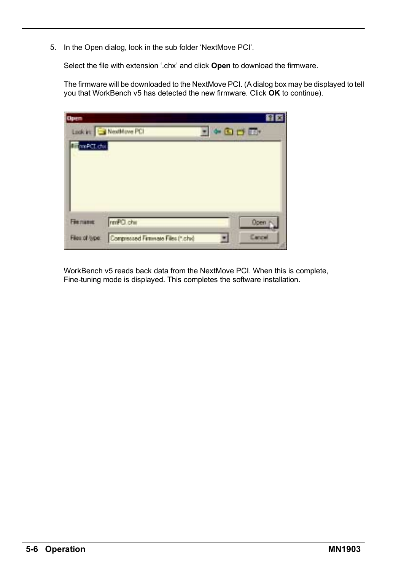5. In the Open dialog, look in the sub folder 'NextMove PCI'.

Select the file with extension '.chx' and click **Open** to download the firmware.

The firmware will be downloaded to the NextMove PCI. (A dialog box may be displayed to tell you that WorkBench v5 has detected the new firmware. Click **OK** to continue).

| <b>Open</b> |                       |                                     |        |
|-------------|-----------------------|-------------------------------------|--------|
|             | Look in: NextMove PCI | $\bullet$ <b>D</b> D $\overline{m}$ |        |
| mnPCL.chi   |                       |                                     |        |
|             |                       |                                     |        |
|             |                       |                                     |        |
|             |                       |                                     |        |
|             |                       |                                     |        |
|             |                       |                                     |        |
|             |                       |                                     |        |
| Fienance    | rmPCI.chii            |                                     | Open p |

WorkBench v5 reads back data from the NextMove PCI. When this is complete, Fine-tuning mode is displayed. This completes the software installation.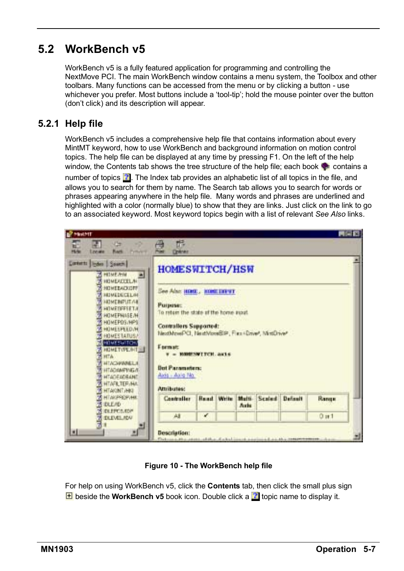# **5.2 WorkBench v5**

WorkBench v5 is a fully featured application for programming and controlling the NextMove PCI. The main WorkBench window contains a menu system, the Toolbox and other toolbars. Many functions can be accessed from the menu or by clicking a button - use whichever you prefer. Most buttons include a 'tool-tip'; hold the mouse pointer over the button (donít click) and its description will appear.

### **5.2.1 Help file**

WorkBench v5 includes a comprehensive help file that contains information about every MintMT keyword, how to use WorkBench and background information on motion control topics. The help file can be displayed at any time by pressing F1. On the left of the help window, the Contents tab shows the tree structure of the help file; each book  $\bullet$  contains a

number of topics  $\mathbb{Z}$ . The Index tab provides an alphabetic list of all topics in the file, and allows you to search for them by name. The Search tab allows you to search for words or phrases appearing anywhere in the help file. Many words and phrases are underlined and highlighted with a color (normally blue) to show that they are links. Just click on the link to go to an associated keyword. Most keyword topics begin with a list of relevant *See Also* links.



**Figure 10 - The WorkBench help file**

For help on using WorkBench v5, click the **Contents** tab, then click the small plus sign **E** beside the **WorkBench v5** book icon. Double click a **th** topic name to display it.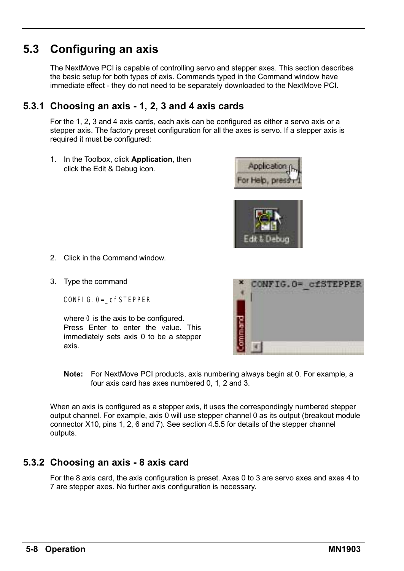# **5.3 Configuring an axis**

The NextMove PCI is capable of controlling servo and stepper axes. This section describes the basic setup for both types of axis. Commands typed in the Command window have immediate effect - they do not need to be separately downloaded to the NextMove PCI.

### **5.3.1 Choosing an axis - 1, 2, 3 and 4 axis cards**

For the 1, 2, 3 and 4 axis cards, each axis can be configured as either a servo axis or a stepper axis. The factory preset configuration for all the axes is servo. If a stepper axis is required it must be configured:

1. In the Toolbox, click **Application**, then click the Edit & Debug icon.





- 2. Click in the Command window.
- 3. Type the command

CONFIG.0=\_cfSTEPPER

where 0 is the axis to be configured. Press Enter to enter the value. This immediately sets axis 0 to be a stepper axis.



**Note:** For NextMove PCI products, axis numbering always begin at 0. For example, a four axis card has axes numbered 0, 1, 2 and 3.

When an axis is configured as a stepper axis, it uses the correspondingly numbered stepper output channel. For example, axis 0 will use stepper channel 0 as its output (breakout module connector X10, pins 1, 2, 6 and 7). See section 4.5.5 for details of the stepper channel outputs.

#### **5.3.2 Choosing an axis - 8 axis card**

For the 8 axis card, the axis configuration is preset. Axes 0 to 3 are servo axes and axes 4 to 7 are stepper axes. No further axis configuration is necessary.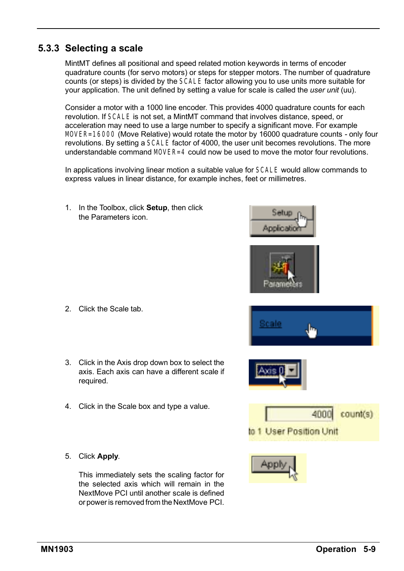### **5.3.3 Selecting a scale**

MintMT defines all positional and speed related motion keywords in terms of encoder quadrature counts (for servo motors) or steps for stepper motors. The number of quadrature counts (or steps) is divided by the SCALE factor allowing you to use units more suitable for your application. The unit defined by setting a value for scale is called the *user unit* (uu).

Consider a motor with a 1000 line encoder. This provides 4000 quadrature counts for each revolution. If SCALE is not set, a MintMT command that involves distance, speed, or acceleration may need to use a large number to specify a significant move. For example MOVER=16000 (Move Relative) would rotate the motor by 16000 quadrature counts - only four revolutions. By setting a SCALE factor of 4000, the user unit becomes revolutions. The more understandable command MOVER=4 could now be used to move the motor four revolutions.

In applications involving linear motion a suitable value for SCALE would allow commands to express values in linear distance, for example inches, feet or millimetres.

1. In the Toolbox, click **Setup**, then click the Parameters icon.

- 2. Click the Scale tab.
- 3. Click in the Axis drop down box to select the axis. Each axis can have a different scale if required.
- 4. Click in the Scale box and type a value.
- 5. Click **Apply**.

This immediately sets the scaling factor for the selected axis which will remain in the NextMove PCI until another scale is defined or power is removed from the NextMove PCI.









Applicatio

Parame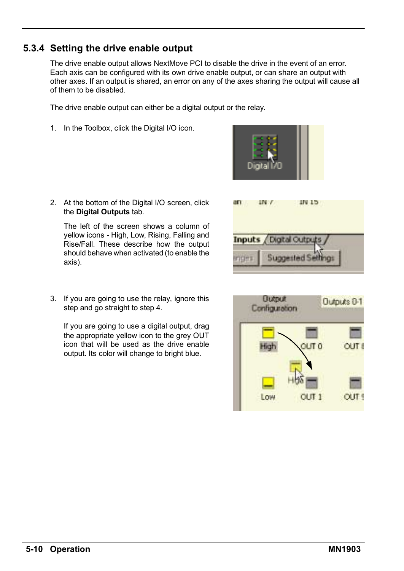## **5.3.4 Setting the drive enable output**

The drive enable output allows NextMove PCI to disable the drive in the event of an error. Each axis can be configured with its own drive enable output, or can share an output with other axes. If an output is shared, an error on any of the axes sharing the output will cause all of them to be disabled.

The drive enable output can either be a digital output or the relay.

1. In the Toolbox, click the Digital I/O icon.

2. At the bottom of the Digital I/O screen, click the **Digital Outputs** tab.

The left of the screen shows a column of yellow icons - High, Low, Rising, Falling and Rise/Fall. These describe how the output should behave when activated (to enable the axis).



Digital Cultrats **Supperted Seth** 

Inputs



If you are going to use a digital output, drag the appropriate yellow icon to the grey OUT icon that will be used as the drive enable output. Its color will change to bright blue.

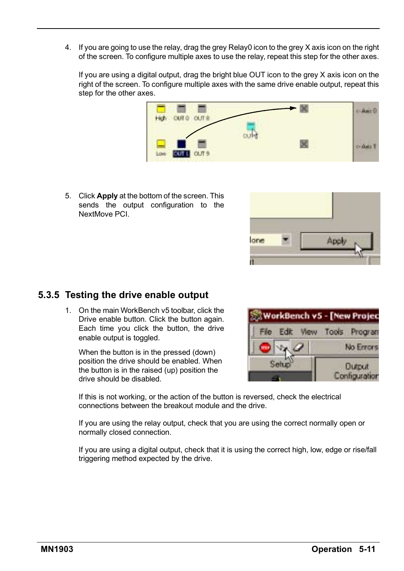4. If you are going to use the relay, drag the grey Relay0 icon to the grey X axis icon on the right of the screen. To configure multiple axes to use the relay, repeat this step for the other axes.

If you are using a digital output, drag the bright blue OUT icon to the grey X axis icon on the right of the screen. To configure multiple axes with the same drive enable output, repeat this step for the other axes.



5. Click **Apply** at the bottom of the screen. This sends the output configuration to the NextMove PCI.



### **5.3.5 Testing the drive enable output**

1. On the main WorkBench v5 toolbar, click the Drive enable button. Click the button again. Each time you click the button, the drive enable output is toggled.

When the button is in the pressed (down) position the drive should be enabled. When the button is in the raised (up) position the drive should be disabled.



If this is not working, or the action of the button is reversed, check the electrical connections between the breakout module and the drive.

If you are using the relay output, check that you are using the correct normally open or normally closed connection.

If you are using a digital output, check that it is using the correct high, low, edge or rise/fall triggering method expected by the drive.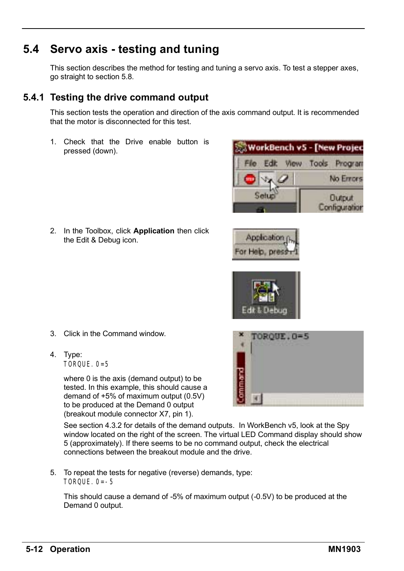# **5.4 Servo axis - testing and tuning**

This section describes the method for testing and tuning a servo axis. To test a stepper axes, go straight to section 5.8.

## **5.4.1 Testing the drive command output**

This section tests the operation and direction of the axis command output. It is recommended that the motor is disconnected for this test.

1. Check that the Drive enable button is pressed (down).



Application For Help, press

2. In the Toolbox, click **Application** then click the Edit & Debug icon.



4. Type: TORQUE. 0=5

> where 0 is the axis (demand output) to be tested. In this example, this should cause a demand of +5% of maximum output (0.5V) to be produced at the Demand 0 output (breakout module connector X7, pin 1).

TOROUE.0=5

See section 4.3.2 for details of the demand outputs. In WorkBench v5, look at the Spy window located on the right of the screen. The virtual LED Command display should show 5 (approximately). If there seems to be no command output, check the electrical connections between the breakout module and the drive.

5. To repeat the tests for negative (reverse) demands, type: TORQUE.  $0=-5$ 

This should cause a demand of -5% of maximum output (-0.5V) to be produced at the Demand 0 output.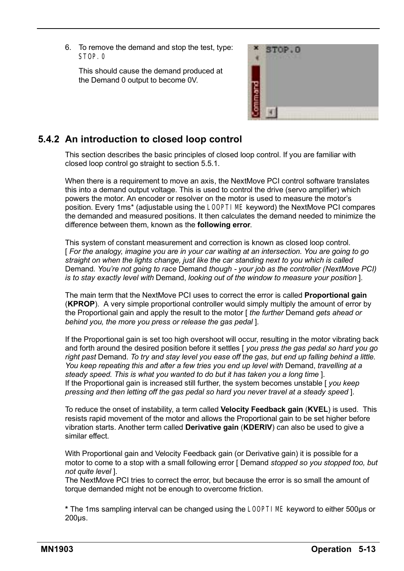6. To remove the demand and stop the test, type: STOP 0

This should cause the demand produced at the Demand 0 output to become 0V.



### **5.4.2 An introduction to closed loop control**

This section describes the basic principles of closed loop control. If you are familiar with closed loop control go straight to section 5.5.1.

When there is a requirement to move an axis, the NextMove PCI control software translates this into a demand output voltage. This is used to control the drive (servo amplifier) which powers the motor. An encoder or resolver on the motor is used to measure the motorís position. Every 1ms\* (adjustable using the LOOPTIME keyword) the NextMove PCI compares the demanded and measured positions. It then calculates the demand needed to minimize the difference between them, known as the **following error**.

This system of constant measurement and correction is known as closed loop control. [ *For the analogy, imagine you are in your car waiting at an intersection. You are going to go straight on when the lights change, just like the car standing next to you which is called* Demand*. Youíre not going to race* Demand *though - your job as the controller (NextMove PCI) is to stay exactly level with* Demand, *looking out of the window to measure your position* ].

The main term that the NextMove PCI uses to correct the error is called **Proportional gain** (**KPROP**). A very simple proportional controller would simply multiply the amount of error by the Proportional gain and apply the result to the motor [ *the further* Demand *gets ahead or behind you, the more you press or release the gas pedal* ].

If the Proportional gain is set too high overshoot will occur, resulting in the motor vibrating back and forth around the desired position before it settles [ *you press the gas pedal so hard you go right past* Demand. *To try and stay level you ease off the gas, but end up falling behind a little. You keep repeating this and after a few tries you end up level with* Demand, *travelling at a steady speed. This is what you wanted to do but it has taken you a long time* ]. If the Proportional gain is increased still further, the system becomes unstable [ *you keep pressing and then letting off the gas pedal so hard you never travel at a steady speed* ].

To reduce the onset of instability, a term called **Velocity Feedback gain** (**KVEL**) is used. This resists rapid movement of the motor and allows the Proportional gain to be set higher before vibration starts. Another term called **Derivative gain** (**KDERIV**) can also be used to give a similar effect.

With Proportional gain and Velocity Feedback gain (or Derivative gain) it is possible for a motor to come to a stop with a small following error [ Demand *stopped so you stopped too, but not quite level* ].

The NextMove PCI tries to correct the error, but because the error is so small the amount of torque demanded might not be enough to overcome friction.

**\*** The 1ms sampling interval can be changed using the LOOPTIME keyword to either 500µs or 200µs.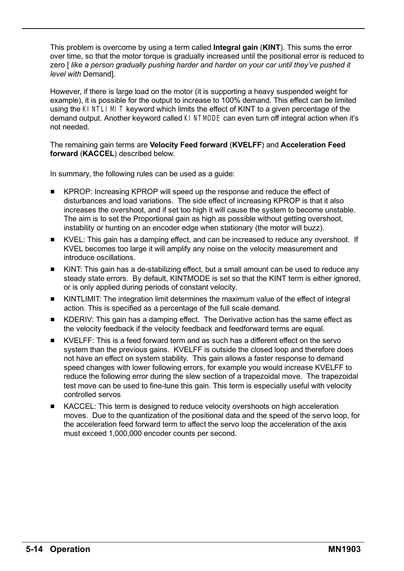This problem is overcome by using a term called **Integral gain** (**KINT**). This sums the error over time, so that the motor torque is gradually increased until the positional error is reduced to zero [ *like a person gradually pushing harder and harder on your car until theyíve pushed it level with* Demand].

However, if there is large load on the motor (it is supporting a heavy suspended weight for example), it is possible for the output to increase to 100% demand. This effect can be limited using the KINTLIMIT keyword which limits the effect of KINT to a given percentage of the demand output. Another keyword called KINTMODE can even turn off integral action when itís not needed.

#### The remaining gain terms are **Velocity Feed forward** (**KVELFF**) and **Acceleration Feed forward** (**KACCEL**) described below.

In summary, the following rules can be used as a guide:

- KPROP: Increasing KPROP will speed up the response and reduce the effect of disturbances and load variations. The side effect of increasing KPROP is that it also increases the overshoot, and if set too high it will cause the system to become unstable. The aim is to set the Proportional gain as high as possible without getting overshoot, instability or hunting on an encoder edge when stationary (the motor will buzz).
- KVEL: This gain has a damping effect, and can be increased to reduce any overshoot. If KVEL becomes too large it will amplify any noise on the velocity measurement and introduce oscillations.
- INCH KINT: This gain has a de-stabilizing effect, but a small amount can be used to reduce any steady state errors. By default, KINTMODE is set so that the KINT term is either ignored, or is only applied during periods of constant velocity.
- KINTLIMIT: The integration limit determines the maximum value of the effect of integral action. This is specified as a percentage of the full scale demand.
- **H** KDERIV: This gain has a damping effect. The Derivative action has the same effect as the velocity feedback if the velocity feedback and feedforward terms are equal.
- $\blacksquare$  KVELFF: This is a feed forward term and as such has a different effect on the servo system than the previous gains. KVELFF is outside the closed loop and therefore does not have an effect on system stability. This gain allows a faster response to demand speed changes with lower following errors, for example you would increase KVELFF to reduce the following error during the slew section of a trapezoidal move. The trapezoidal test move can be used to fine-tune this gain. This term is especially useful with velocity controlled servos
- KACCEL: This term is designed to reduce velocity overshoots on high acceleration moves. Due to the quantization of the positional data and the speed of the servo loop, for the acceleration feed forward term to affect the servo loop the acceleration of the axis must exceed 1,000,000 encoder counts per second.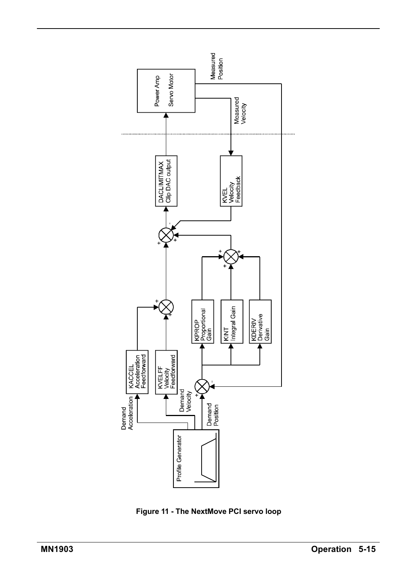

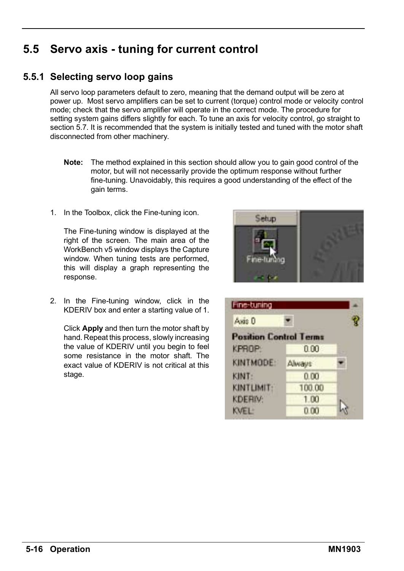# **5.5 Servo axis - tuning for current control**

### **5.5.1 Selecting servo loop gains**

All servo loop parameters default to zero, meaning that the demand output will be zero at power up. Most servo amplifiers can be set to current (torque) control mode or velocity control mode; check that the servo amplifier will operate in the correct mode. The procedure for setting system gains differs slightly for each. To tune an axis for velocity control, go straight to section 5.7. It is recommended that the system is initially tested and tuned with the motor shaft disconnected from other machinery.

- **Note:** The method explained in this section should allow you to gain good control of the motor, but will not necessarily provide the optimum response without further fine-tuning. Unavoidably, this requires a good understanding of the effect of the gain terms.
- 1. In the Toolbox, click the Fine-tuning icon.

The Fine-tuning window is displayed at the right of the screen. The main area of the WorkBench v5 window displays the Capture window. When tuning tests are performed, this will display a graph representing the response.



2. In the Fine-tuning window, click in the KDERIV box and enter a starting value of 1.

Click **Apply** and then turn the motor shaft by hand. Repeat this process, slowly increasing the value of KDERIV until you begin to feel some resistance in the motor shaft. The exact value of KDERIV is not critical at this stage.

| Fine-tuning                   |        |  |
|-------------------------------|--------|--|
| Axis D                        |        |  |
| <b>Position Control Terms</b> |        |  |
| KPROP:                        | 0.00   |  |
| KINTMODE:                     | Alwaus |  |
| KINT:                         | 0.00   |  |
| KINTLIMIT:                    | 100.00 |  |
| KDERIV:                       | 1.00   |  |
| <b>WEL:</b>                   | 0.00   |  |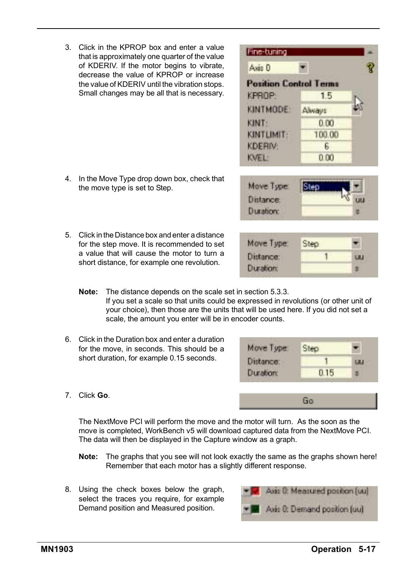7. Click **Go**.

3. Click in the KPROP box and enter a value that is approximately one quarter of the value of KDERIV. If the motor begins to vibrate, decrease the value of KPROP or increase the value of KDERIV until the vibration stops. Small changes may be all that is necessary.

- 4. In the Move Type drop down box, check that the move type is set to Step.
- 5. Click in the Distance box and enter a distance for the step move. It is recommended to set a value that will cause the motor to turn a short distance, for example one revolution.
	- **Note:** The distance depends on the scale set in section 5.3.3. If you set a scale so that units could be expressed in revolutions (or other unit of your choice), then those are the units that will be used here. If you did not set a scale, the amount you enter will be in encoder counts.
- 6. Click in the Duration box and enter a duration for the move, in seconds. This should be a short duration, for example 0.15 seconds.
- 

- The NextMove PCI will perform the move and the motor will turn. As the soon as the move is completed, WorkBench v5 will download captured data from the NextMove PCI. The data will then be displayed in the Capture window as a graph.
- **Note:** The graphs that you see will not look exactly the same as the graphs shown here! Remember that each motor has a slightly different response.
- 8. Using the check boxes below the graph, select the traces you require, for example Demand position and Measured position.



Fine-tuning Asis 0 **Position Control Terms KPROP** 15 KINTMODE: Alwaus: KINT: 0.00 KINTLIMIT: 100.00

**KDERIV:** 

Move Tupe:

Distance:

**Duration:** 

KVEL:



Step

1

tau

亜

E. 0.00



Go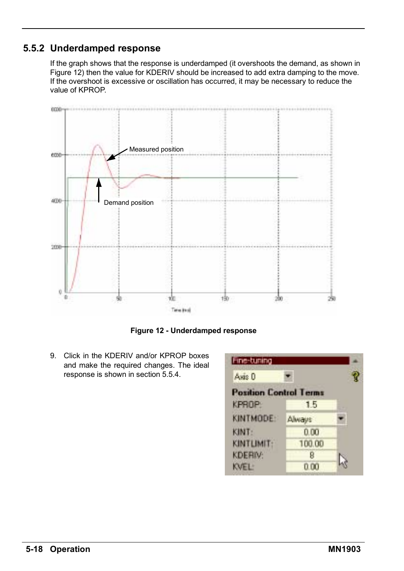### **5.5.2 Underdamped response**

If the graph shows that the response is underdamped (it overshoots the demand, as shown in Figure 12) then the value for KDERIV should be increased to add extra damping to the move. If the overshoot is excessive or oscillation has occurred, it may be necessary to reduce the value of KPROP.



**Figure 12 - Underdamped response**

9. Click in the KDERIV and/or KPROP boxes and make the required changes. The ideal response is shown in section 5.5.4.

| Fine-tuning                   |               |  |
|-------------------------------|---------------|--|
| Axis D                        |               |  |
| <b>Position Control Terms</b> |               |  |
| KPROP:                        | 15            |  |
| KINTMODE:                     | <b>Always</b> |  |
| KINT:                         | 0.00          |  |
| KINTLIMIT:                    | 100.00        |  |
| <b>KDERIV:</b>                | р             |  |
| <b>OVEL:</b>                  | 0.00          |  |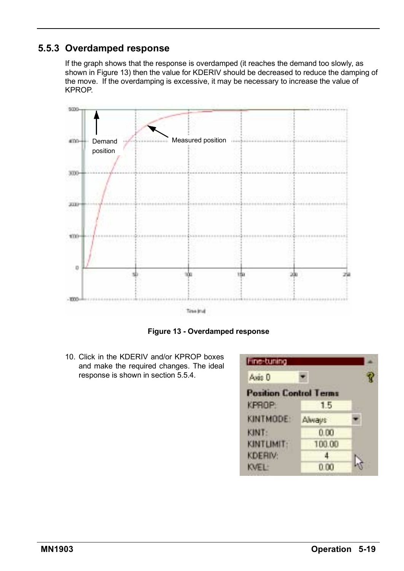### **5.5.3 Overdamped response**

If the graph shows that the response is overdamped (it reaches the demand too slowly, as shown in Figure 13) then the value for KDERIV should be decreased to reduce the damping of the move. If the overdamping is excessive, it may be necessary to increase the value of KPROP.



**Figure 13 - Overdamped response**

10. Click in the KDERIV and/or KPROP boxes and make the required changes. The ideal response is shown in section 5.5.4.

| Fine-tuning                   |        |  |
|-------------------------------|--------|--|
| Axis D                        |        |  |
| <b>Position Control Terms</b> |        |  |
| KPROP:                        | 15     |  |
| KINTMODE:                     | Alwaus |  |
| KINT:                         | 0.00   |  |
| KINTLIMIT:                    | 100.00 |  |
| <b>KDERIV:</b>                |        |  |
| <b>NVEL:</b>                  |        |  |
|                               |        |  |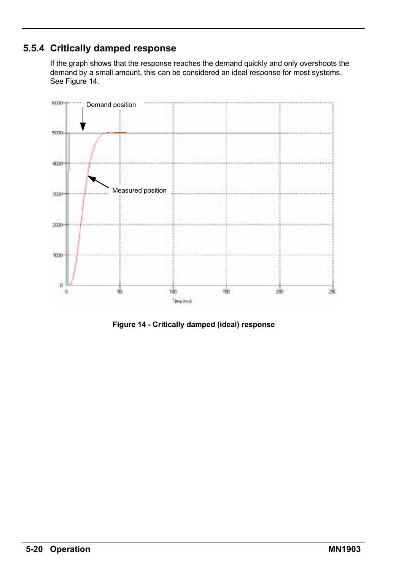### **5.5.4 Critically damped response**

If the graph shows that the response reaches the demand quickly and only overshoots the demand by a small amount, this can be considered an ideal response for most systems. See Figure 14.



**Figure 14 - Critically damped (ideal) response**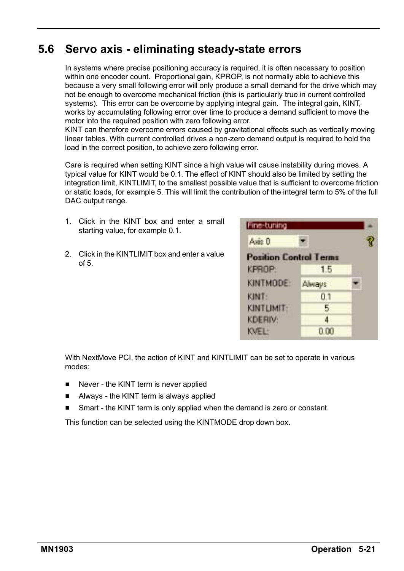# **5.6 Servo axis - eliminating steady-state errors**

In systems where precise positioning accuracy is required, it is often necessary to position within one encoder count. Proportional gain, KPROP, is not normally able to achieve this because a very small following error will only produce a small demand for the drive which may not be enough to overcome mechanical friction (this is particularly true in current controlled systems). This error can be overcome by applying integral gain. The integral gain, KINT, works by accumulating following error over time to produce a demand sufficient to move the motor into the required position with zero following error.

KINT can therefore overcome errors caused by gravitational effects such as vertically moving linear tables. With current controlled drives a non-zero demand output is required to hold the load in the correct position, to achieve zero following error.

Care is required when setting KINT since a high value will cause instability during moves. A typical value for KINT would be 0.1. The effect of KINT should also be limited by setting the integration limit, KINTLIMIT, to the smallest possible value that is sufficient to overcome friction or static loads, for example 5. This will limit the contribution of the integral term to 5% of the full DAC output range.

- 1. Click in the KINT box and enter a small starting value, for example 0.1.
- 2. Click in the KINTLIMIT box and enter a value  $of 5$

| Fine-tuning                   |        |  |
|-------------------------------|--------|--|
| Axis D                        |        |  |
| <b>Position Control Terms</b> |        |  |
| KPROP:                        | 1.5    |  |
| KINTMODE:                     | Alwaus |  |
| KINT:                         | 01     |  |
| KINTLIMIT:                    |        |  |
| <b>KDERIV:</b>                |        |  |
| VEI <sup>+</sup>              |        |  |

With NextMove PCI, the action of KINT and KINTLIMIT can be set to operate in various modes:

- Never the KINT term is never applied
- Always the KINT term is always applied
- Smart the KINT term is only applied when the demand is zero or constant.

This function can be selected using the KINTMODE drop down box.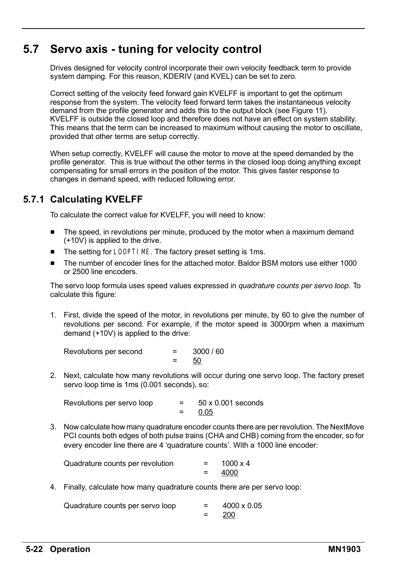# **5.7 Servo axis - tuning for velocity control**

Drives designed for velocity control incorporate their own velocity feedback term to provide system damping. For this reason, KDERIV (and KVEL) can be set to zero.

Correct setting of the velocity feed forward gain KVELFF is important to get the optimum response from the system. The velocity feed forward term takes the instantaneous velocity demand from the profile generator and adds this to the output block (see Figure 11). KVELFF is outside the closed loop and therefore does not have an effect on system stability. This means that the term can be increased to maximum without causing the motor to oscillate, provided that other terms are setup correctly.

When setup correctly, KVELFF will cause the motor to move at the speed demanded by the profile generator. This is true without the other terms in the closed loop doing anything except compensating for small errors in the position of the motor. This gives faster response to changes in demand speed, with reduced following error.

### **5.7.1 Calculating KVELFF**

To calculate the correct value for KVELFF, you will need to know:

- $\blacksquare$  The speed, in revolutions per minute, produced by the motor when a maximum demand (+10V) is applied to the drive.
- The setting for LOOPTIME. The factory preset setting is 1ms.
- The number of encoder lines for the attached motor. Baldor BSM motors use either 1000 or 2500 line encoders.

The servo loop formula uses speed values expressed in *quadrature counts per servo loop*. To calculate this figure:

1. First, divide the speed of the motor, in revolutions per minute, by 60 to give the number of revolutions per second. For example, if the motor speed is 3000rpm when a maximum demand (+10V) is applied to the drive:

Revolutions per second = 3000 / 60  $= 50$ 

2. Next, calculate how many revolutions will occur during one servo loop. The factory preset servo loop time is 1ms (0.001 seconds), so:

| Revolutions per servo loop | $=$ | $50 \times 0.001$ seconds |
|----------------------------|-----|---------------------------|
|                            |     | 0.05                      |

3. Now calculate how many quadrature encoder counts there are per revolution. The NextMove PCI counts both edges of both pulse trains (CHA and CHB) coming from the encoder, so for every encoder line there are 4 'quadrature counts'. With a 1000 line encoder:

| Quadrature counts per revolution | $1000 \times 4$ |
|----------------------------------|-----------------|
|                                  | 4000            |

4. Finally, calculate how many quadrature counts there are per servo loop:

| Quadrature counts per servo loop | 4000 x 0.05 |
|----------------------------------|-------------|
|                                  | 200         |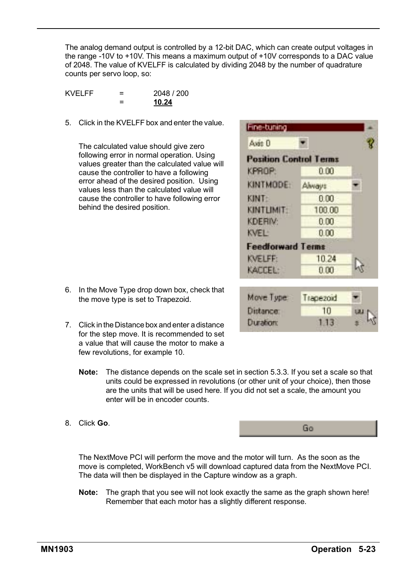The analog demand output is controlled by a 12-bit DAC, which can create output voltages in the range -10V to +10V. This means a maximum output of +10V corresponds to a DAC value of 2048. The value of KVELFF is calculated by dividing 2048 by the number of quadrature counts per servo loop, so:

KVFLFF  $= 2048 / 200$ = **10.24**

5. Click in the KVELFF box and enter the value.

The calculated value should give zero following error in normal operation. Using values greater than the calculated value will cause the controller to have a following error ahead of the desired position. Using values less than the calculated value will cause the controller to have following error behind the desired position.

- 6. In the Move Type drop down box, check that the move type is set to Trapezoid.
- 7. Click in the Distance box and enter a distance for the step move. It is recommended to set a value that will cause the motor to make a few revolutions, for example 10.
	- **Note:** The distance depends on the scale set in section 5.3.3. If you set a scale so that units could be expressed in revolutions (or other unit of your choice), then those are the units that will be used here. If you did not set a scale, the amount you enter will be in encoder counts.
- 8. Click **Go**.

The NextMove PCI will perform the move and the motor will turn. As the soon as the move is completed, WorkBench v5 will download captured data from the NextMove PCI. The data will then be displayed in the Capture window as a graph.

**Note:** The graph that you see will not look exactly the same as the graph shown here! Remember that each motor has a slightly different response.

| Axis D                        |        |  |
|-------------------------------|--------|--|
| <b>Position Control Terms</b> |        |  |
| KPROP:                        | 9.00   |  |
| <b>KINTMODE:</b>              | Always |  |
| <b>KINT:</b>                  | 0.00   |  |
| KINTLIMIT                     | 100.00 |  |
| <b>KDERIV:</b>                | 0.00   |  |
| KVF1-                         | 0.00   |  |
| <b>Feedforward Terms</b>      |        |  |
| <b>KVELFF:</b>                | 1024   |  |
| KACCEL:                       | 8.00   |  |

| Move Type:       | Trapezoid |             |
|------------------|-----------|-------------|
| Distance:        | 10        | <b>UM N</b> |
| <b>Duration:</b> | 1.13      |             |

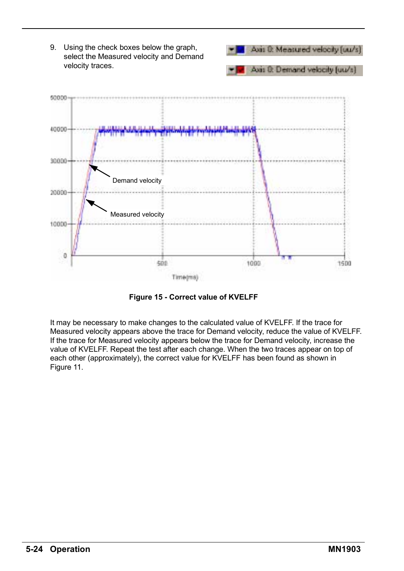

**Figure 15 - Correct value of KVELFF**

It may be necessary to make changes to the calculated value of KVELFF. If the trace for Measured velocity appears above the trace for Demand velocity, reduce the value of KVELFF. If the trace for Measured velocity appears below the trace for Demand velocity, increase the value of KVELFF. Repeat the test after each change. When the two traces appear on top of each other (approximately), the correct value for KVELFF has been found as shown in Figure 11.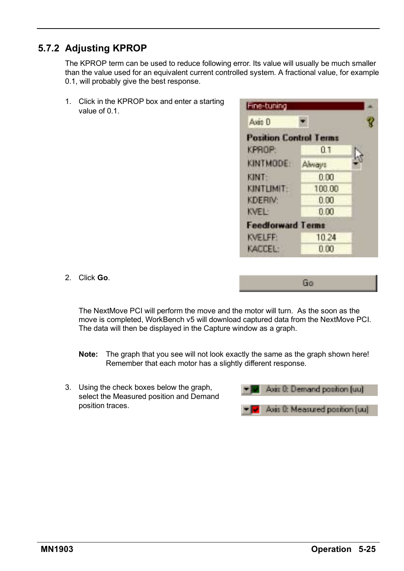## **5.7.2 Adjusting KPROP**

The KPROP term can be used to reduce following error. Its value will usually be much smaller than the value used for an equivalent current controlled system. A fractional value, for example 0.1, will probably give the best response.

1. Click in the KPROP box and enter a starting value of 0.1.

| Axis D                        |        |  |
|-------------------------------|--------|--|
| <b>Position Control Terms</b> |        |  |
| <b>KPROP:</b>                 | 0.1    |  |
| KINTMODE:                     | Always |  |
| <b>KINT:</b>                  | 0.00   |  |
| KINTLIMIT                     | 100.00 |  |
| <b>KDERIV:</b>                | 0.00   |  |
| KVEL-                         | n nn   |  |
| <b>Feedforward Terms</b>      |        |  |
| <b>KVELFF:</b>                | 10 24  |  |
| KACCEL:                       | 0.00   |  |

Go

2. Click **Go**.

The NextMove PCI will perform the move and the motor will turn. As the soon as the move is completed, WorkBench v5 will download captured data from the NextMove PCI. The data will then be displayed in the Capture window as a graph.

- **Note:** The graph that you see will not look exactly the same as the graph shown here! Remember that each motor has a slightly different response.
- 3. Using the check boxes below the graph, select the Measured position and Demand position traces.

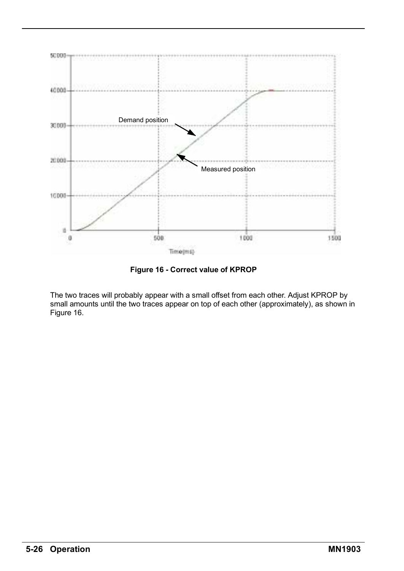

**Figure 16 - Correct value of KPROP**

The two traces will probably appear with a small offset from each other. Adjust KPROP by small amounts until the two traces appear on top of each other (approximately), as shown in Figure 16.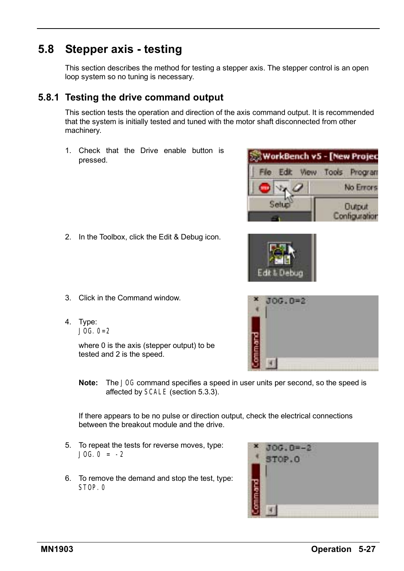# **5.8 Stepper axis - testing**

This section describes the method for testing a stepper axis. The stepper control is an open loop system so no tuning is necessary.

## **5.8.1 Testing the drive command output**

This section tests the operation and direction of the axis command output. It is recommended that the system is initially tested and tuned with the motor shaft disconnected from other machinery.

1. Check that the Drive enable button is pressed.

2. In the Toolbox, click the Edit & Debug icon.



Edit & Debun

- 3. Click in the Command window.
- 4. Type:  $JOG.0=2$

where 0 is the axis (stepper output) to be tested and 2 is the speed.

**Note:** The JOG command specifies a speed in user units per second, so the speed is affected by SCALE (section 5.3.3).

If there appears to be no pulse or direction output, check the electrical connections between the breakout module and the drive.

- 5. To repeat the tests for reverse moves, type:  $JOG.0 = -2$
- 6. To remove the demand and stop the test, type: STOP 0



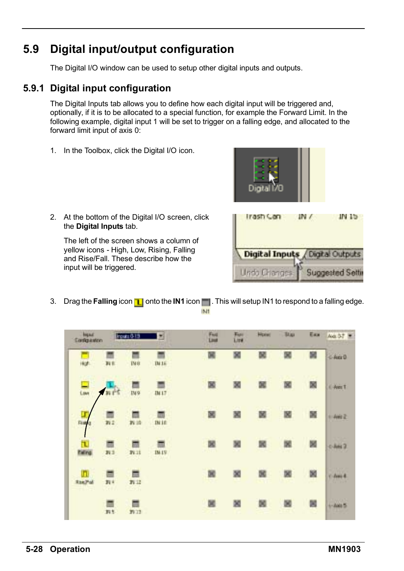# **5.9 Digital input/output configuration**

The Digital I/O window can be used to setup other digital inputs and outputs.

### **5.9.1 Digital input configuration**

The Digital Inputs tab allows you to define how each digital input will be triggered and, optionally, if it is to be allocated to a special function, for example the Forward Limit. In the following example, digital input 1 will be set to trigger on a falling edge, and allocated to the forward limit input of axis 0:

1. In the Toolbox, click the Digital I/O icon.



2. At the bottom of the Digital I/O screen, click the **Digital Inputs** tab.

The left of the screen shows a column of yellow icons - High, Low, Rising, Falling and Rise/Fall. These describe how the input will be triggered.



3. Drag the **Falling** icon **n** onto the **IN1** icon **n** . This will setup IN1 to respond to a falling edge. IMT

| Inquir<br>Congaston |           | Program 0-13          | ×            | Fwd<br>Lleaf | Fury<br>Link | Homi | Titas | East | Aid 37 W        |
|---------------------|-----------|-----------------------|--------------|--------------|--------------|------|-------|------|-----------------|
| ikut.               | Di ti     | <b>IMB</b>            | B416         | 属            | 図            | 醚    |       | 図    | 4.4880          |
| $\frac{1}{2}$       | nr*       | IN9                   | 1M17         |              |              |      |       | 図    | <b>C-Aves T</b> |
| Ru                  | 面<br>n:   | 拆油                    | <b>DUIE</b>  | ×            |              | х    | 闔     | 頥    | $1 - 4662$      |
| τ<br><b>Faling</b>  | 37.3      | 面<br>19.11            | <b>IM 19</b> |              |              | 國    |       | 図    | $0$ -Any $2$    |
| п<br><b>RisePol</b> | 對中<br>. . | 屇<br>29:12<br>$-9.11$ |              | 閬            | 図            |      | 図     | 図    | $i$ - June 4.   |
|                     | ▬<br>封生   | 39.12                 |              |              |              | œ    |       | 闔    | $+4448.5$       |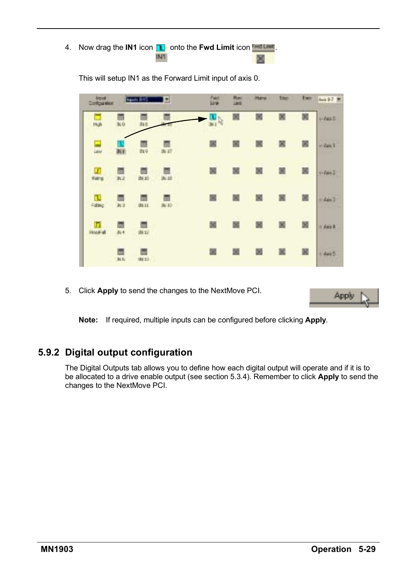4. Now drag the **IN1** icon **IT** onto the **Fwd Limit** icon **First Limit** IN1

| <b><i><u>bress</u></i></b><br><b>Confidental</b> |                     | <b>Triple (FBS</b> | ы     | n<br>Line     | List |   | <b>Size</b> | ties. | Ani 1-7     |
|--------------------------------------------------|---------------------|--------------------|-------|---------------|------|---|-------------|-------|-------------|
| 됴                                                | œ<br>NO             |                    |       | $\frac{1}{2}$ | ×    |   |             | 関     | <b>HART</b> |
| E                                                |                     | Bie                | IM 47 | œ             |      |   | 図           | 國     | $-2$ an 1   |
| $\sim$<br>Œ<br>Karic                             | ٥<br>B <sub>2</sub> | 24:30              | 34.10 | ×             | ×    |   |             | 図     | $+4442$     |
| τ<br>Falsig                                      | m<br>aca            | <b>JAL 11</b>      | 34.40 | 飀             | 飀    | × |             | 図     | $1$ day $3$ |
| п<br><b>HitalFall</b>                            | 31.4                | 道口                 |       | 齃             |      |   |             | 閾     | i dest      |
|                                                  | Bi N                | ini zil            |       | 圖             | 圖    | 図 | ×           | 圖     | il Aws 5    |

This will setup IN1 as the Forward Limit input of axis 0.

5. Click **Apply** to send the changes to the NextMove PCI.

Apply

**Note:** If required, multiple inputs can be configured before clicking **Apply**.

### **5.9.2 Digital output configuration**

The Digital Outputs tab allows you to define how each digital output will operate and if it is to be allocated to a drive enable output (see section 5.3.4). Remember to click **Apply** to send the changes to the NextMove PCI.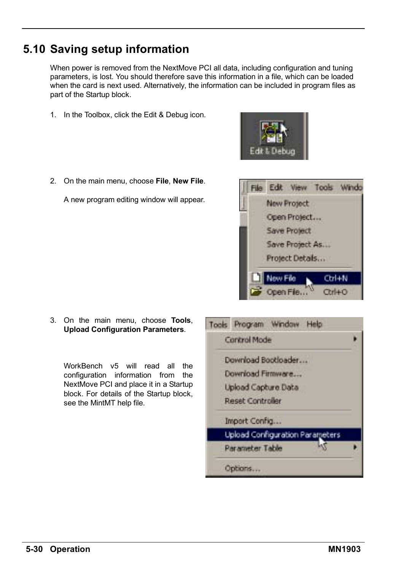# **5.10 Saving setup information**

When power is removed from the NextMove PCI all data, including configuration and tuning parameters, is lost. You should therefore save this information in a file, which can be loaded when the card is next used. Alternatively, the information can be included in program files as part of the Startup block.

- 1. In the Toolbox, click the Edit & Debug icon.
- 2. On the main menu, choose **File**, **New File**.

A new program editing window will appear.

3. On the main menu, choose **Tools**, **Upload Configuration Parameters**.

WorkBench v5 will read all the configuration information from the NextMove PCI and place it in a Startup block. For details of the Startup block, see the MintMT help file.





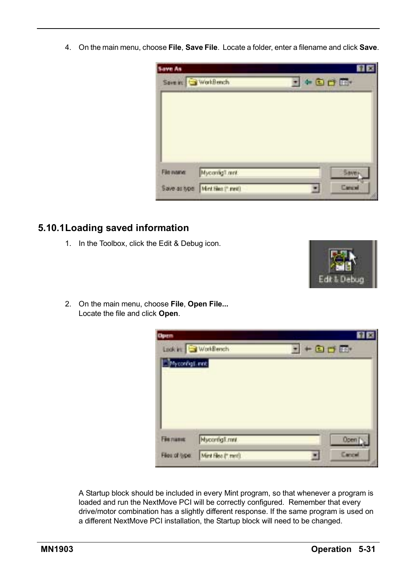4. On the main menu, choose **File**, **Save File**. Locate a folder, enter a filename and click **Save**.



#### **5.10.1Loading saved information**

1. In the Toolbox, click the Edit & Debug icon.



2. On the main menu, choose **File**, **Open File...** Locate the file and click **Open**.

| <b>Open</b>     |                      |                   |
|-----------------|----------------------|-------------------|
|                 | Look in WorkBench    | $+0$ d m          |
| Mycordigs.ont   |                      |                   |
|                 |                      |                   |
|                 |                      |                   |
|                 |                      |                   |
|                 |                      |                   |
|                 |                      |                   |
|                 |                      |                   |
| <b>Fie name</b> | <b>Nycorrighment</b> | Open <sup>1</sup> |

A Startup block should be included in every Mint program, so that whenever a program is loaded and run the NextMove PCI will be correctly configured. Remember that every drive/motor combination has a slightly different response. If the same program is used on a different NextMove PCI installation, the Startup block will need to be changed.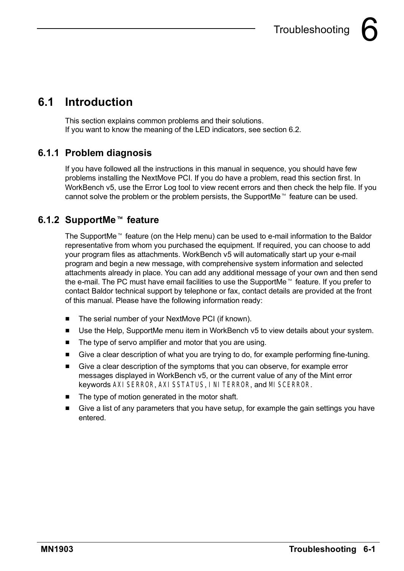

# **6.1 Introduction**

This section explains common problems and their solutions. If you want to know the meaning of the LED indicators, see section 6.2.

## **6.1.1 Problem diagnosis**

If you have followed all the instructions in this manual in sequence, you should have few problems installing the NextMove PCI. If you do have a problem, read this section first. In WorkBench v5, use the Error Log tool to view recent errors and then check the help file. If you cannot solve the problem or the problem persists, the SupportMe<sup> $m$ </sup> feature can be used.

# **6.1.2 SupportMe<sup>™</sup> feature**

The SupportMe<sup> $M$ </sup> feature (on the Help menu) can be used to e-mail information to the Baldor representative from whom you purchased the equipment. If required, you can choose to add your program files as attachments. WorkBench v5 will automatically start up your e-mail program and begin a new message, with comprehensive system information and selected attachments already in place. You can add any additional message of your own and then send the e-mail. The PC must have email facilities to use the SupportMe<sup>™</sup> feature. If you prefer to contact Baldor technical support by telephone or fax, contact details are provided at the front of this manual. Please have the following information ready:

- The serial number of your NextMove PCI (if known).
- Use the Help, SupportMe menu item in WorkBench v5 to view details about your system.
- $\blacksquare$  The type of servo amplifier and motor that you are using.
- H Give a clear description of what you are trying to do, for example performing fine-tuning.
- H Give a clear description of the symptoms that you can observe, for example error messages displayed in WorkBench v5, or the current value of any of the Mint error keywords AXISERROR, AXISSTATUS, INITERROR, and MISCERROR.
- $\blacksquare$  The type of motion generated in the motor shaft.
- H Give a list of any parameters that you have setup, for example the gain settings you have entered.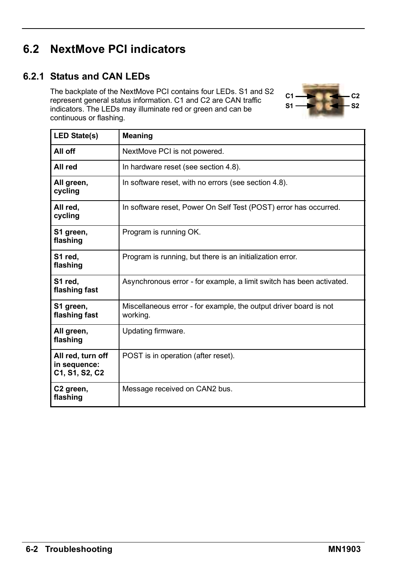# **6.2 NextMove PCI indicators**

#### **6.2.1 Status and CAN LEDs**

The backplate of the NextMove PCI contains four LEDs. S1 and S2 represent general status information. C1 and C2 are CAN traffic indicators. The LEDs may illuminate red or green and can be continuous or flashing.



| <b>LED State(s)</b>                                 | Meaning                                                                       |
|-----------------------------------------------------|-------------------------------------------------------------------------------|
| All off                                             | NextMove PCI is not powered.                                                  |
| All red                                             | In hardware reset (see section 4.8).                                          |
| All green,<br>cycling                               | In software reset, with no errors (see section 4.8).                          |
| All red,<br>cycling                                 | In software reset, Power On Self Test (POST) error has occurred.              |
| S1 green,<br>flashing                               | Program is running OK.                                                        |
| S1 red.<br>flashing                                 | Program is running, but there is an initialization error.                     |
| S1 red,<br>flashing fast                            | Asynchronous error - for example, a limit switch has been activated.          |
| S1 green,<br>flashing fast                          | Miscellaneous error - for example, the output driver board is not<br>working. |
| All green,<br>flashing                              | Updating firmware.                                                            |
| All red, turn off<br>in sequence:<br>C1, S1, S2, C2 | POST is in operation (after reset).                                           |
| C <sub>2</sub> green,<br>flashing                   | Message received on CAN2 bus.                                                 |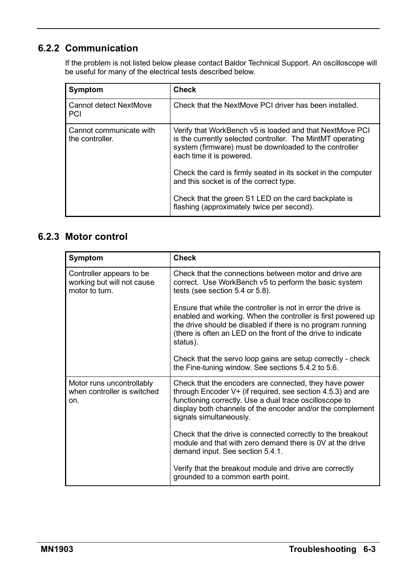## **6.2.2 Communication**

If the problem is not listed below please contact Baldor Technical Support. An oscilloscope will be useful for many of the electrical tests described below.

| Symptom                                    | Check                                                                                                                                                                                                        |  |
|--------------------------------------------|--------------------------------------------------------------------------------------------------------------------------------------------------------------------------------------------------------------|--|
| Cannot detect NextMove<br>PCI              | Check that the NextMove PCI driver has been installed.                                                                                                                                                       |  |
| Cannot communicate with<br>the controller. | Verify that WorkBench v5 is loaded and that NextMove PCI<br>is the currently selected controller. The MintMT operating<br>system (firmware) must be downloaded to the controller<br>each time it is powered. |  |
|                                            | Check the card is firmly seated in its socket in the computer<br>and this socket is of the correct type.                                                                                                     |  |
|                                            | Check that the green S1 LED on the card backplate is<br>flashing (approximately twice per second).                                                                                                           |  |

### **6.2.3 Motor control**

| Symptom                                                                   | <b>Check</b>                                                                                                                                                                                                                                                                 |  |
|---------------------------------------------------------------------------|------------------------------------------------------------------------------------------------------------------------------------------------------------------------------------------------------------------------------------------------------------------------------|--|
| Controller appears to be.<br>working but will not cause<br>motor to turn. | Check that the connections between motor and drive are<br>correct. Use WorkBench v5 to perform the basic system<br>tests (see section 5.4 or 5.8).                                                                                                                           |  |
|                                                                           | Ensure that while the controller is not in error the drive is<br>enabled and working. When the controller is first powered up<br>the drive should be disabled if there is no program running<br>(there is often an LED on the front of the drive to indicate<br>status).     |  |
|                                                                           | Check that the servo loop gains are setup correctly - check<br>the Fine-tuning window. See sections 5.4.2 to 5.6.                                                                                                                                                            |  |
| Motor runs uncontrollably<br>when controller is switched<br>on.           | Check that the encoders are connected, they have power<br>through Encoder $V^+$ (if required, see section 4.5.3) and are<br>functioning correctly. Use a dual trace oscilloscope to<br>display both channels of the encoder and/or the complement<br>signals simultaneously. |  |
|                                                                           | Check that the drive is connected correctly to the breakout<br>module and that with zero demand there is 0V at the drive<br>demand input. See section 5.4.1.                                                                                                                 |  |
|                                                                           | Verify that the breakout module and drive are correctly<br>grounded to a common earth point.                                                                                                                                                                                 |  |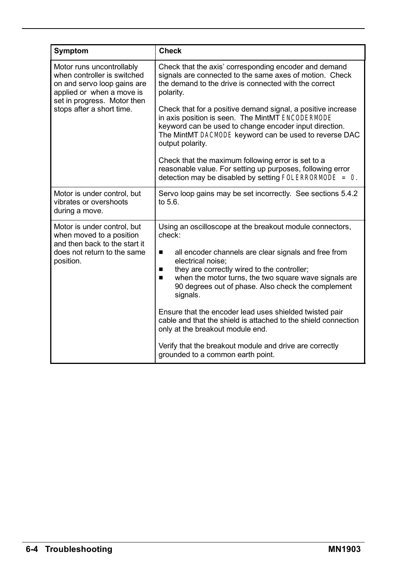| Symptom                                                                                                                                                                          | <b>Check</b>                                                                                                                                                                                                                                            |  |  |
|----------------------------------------------------------------------------------------------------------------------------------------------------------------------------------|---------------------------------------------------------------------------------------------------------------------------------------------------------------------------------------------------------------------------------------------------------|--|--|
| Motor runs uncontrollably<br>when controller is switched<br>on and servo loop gains are<br>applied or when a move is<br>set in progress. Motor then<br>stops after a short time. | Check that the axis' corresponding encoder and demand<br>signals are connected to the same axes of motion. Check<br>the demand to the drive is connected with the correct<br>polarity.                                                                  |  |  |
|                                                                                                                                                                                  | Check that for a positive demand signal, a positive increase<br>in axis position is seen. The MintMT ENCODERMODE<br>keyword can be used to change encoder input direction.<br>The MintMT DACMODE keyword can be used to reverse DAC<br>output polarity. |  |  |
|                                                                                                                                                                                  | Check that the maximum following error is set to a<br>reasonable value. For setting up purposes, following error<br>detection may be disabled by setting FOLERRORMODE = $0$ .                                                                           |  |  |
| Motor is under control, but<br>vibrates or overshoots<br>during a move.                                                                                                          | Servo loop gains may be set incorrectly. See sections 5.4.2<br>to $5.6$ .                                                                                                                                                                               |  |  |
| Motor is under control, but<br>when moved to a position<br>and then back to the start it                                                                                         | Using an oscilloscope at the breakout module connectors,<br>check <sup>-</sup>                                                                                                                                                                          |  |  |
| does not return to the same<br>position.                                                                                                                                         | all encoder channels are clear signals and free from<br>п<br>electrical noise:                                                                                                                                                                          |  |  |
|                                                                                                                                                                                  | they are correctly wired to the controller;<br>п<br>when the motor turns, the two square wave signals are<br>■<br>90 degrees out of phase. Also check the complement<br>signals.                                                                        |  |  |
|                                                                                                                                                                                  | Ensure that the encoder lead uses shielded twisted pair<br>cable and that the shield is attached to the shield connection<br>only at the breakout module end.                                                                                           |  |  |
|                                                                                                                                                                                  | Verify that the breakout module and drive are correctly<br>grounded to a common earth point.                                                                                                                                                            |  |  |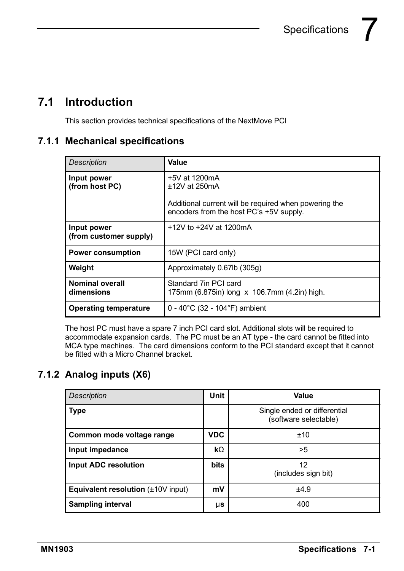# **7.1 Introduction**

This section provides technical specifications of the NextMove PCI

### **7.1.1 Mechanical specifications**

| <b>Description</b>                    | Value                                                                                                                                  |
|---------------------------------------|----------------------------------------------------------------------------------------------------------------------------------------|
| Input power<br>(from host PC)         | $+5V$ at 1200mA<br>$±12V$ at 250mA<br>Additional current will be required when powering the<br>encoders from the host PC's +5V supply. |
| Input power<br>(from customer supply) | +12V to +24V at 1200mA                                                                                                                 |
| <b>Power consumption</b>              | 15W (PCI card only)                                                                                                                    |
| Weight                                | Approximately 0.67lb (305q)                                                                                                            |
| <b>Nominal overall</b><br>dimensions  | Standard 7in PCI card<br>175mm (6.875in) long x 106.7mm (4.2in) high.                                                                  |
| <b>Operating temperature</b>          | $0 - 40^{\circ}$ C (32 - 104 $^{\circ}$ F) ambient                                                                                     |

The host PC must have a spare 7 inch PCI card slot. Additional slots will be required to accommodate expansion cards. The PC must be an AT type - the card cannot be fitted into MCA type machines. The card dimensions conform to the PCI standard except that it cannot be fitted with a Micro Channel bracket.

### **7.1.2 Analog inputs (X6)**

| <b>Description</b>                             | Unit        | Value                                                 |
|------------------------------------------------|-------------|-------------------------------------------------------|
| <b>Type</b>                                    |             | Single ended or differential<br>(software selectable) |
| Common mode voltage range                      | <b>VDC</b>  | ±10                                                   |
| Input impedance                                | $k\Omega$   | >5                                                    |
| Input ADC resolution                           | <b>bits</b> | 12<br>(includes sign bit)                             |
| <b>Equivalent resolution</b> $(\pm 10V$ input) | mV          | ±4.9                                                  |
| <b>Sampling interval</b>                       | μs          | 400                                                   |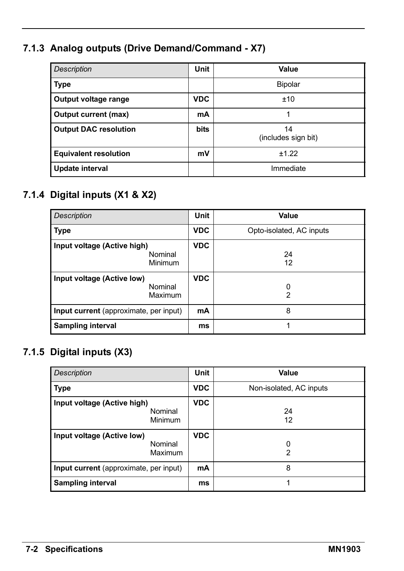# **7.1.3 Analog outputs (Drive Demand/Command - X7)**

| <b>Description</b>           | <b>Unit</b> | Value                     |
|------------------------------|-------------|---------------------------|
| <b>Type</b>                  |             | Bipolar                   |
| Output voltage range         | <b>VDC</b>  | ±10                       |
| Output current (max)         | mA          |                           |
| <b>Output DAC resolution</b> | <b>bits</b> | 14<br>(includes sign bit) |
| <b>Equivalent resolution</b> | mV          | ±1.22                     |
| Update interval              |             | Immediate                 |

## **7.1.4 Digital inputs (X1 & X2)**

| <b>Description</b>                                | <b>Unit</b> | Value                    |
|---------------------------------------------------|-------------|--------------------------|
| Type                                              | <b>VDC</b>  | Opto-isolated, AC inputs |
| Input voltage (Active high)<br>Nominal<br>Minimum | <b>VDC</b>  | 24<br>12                 |
| Input voltage (Active low)<br>Nominal<br>Maximum  | <b>VDC</b>  | 0<br>2                   |
| Input current (approximate, per input)            | mA          | 8                        |
| <b>Sampling interval</b>                          | ms          |                          |

### **7.1.5 Digital inputs (X3)**

| <b>Description</b>                                | Unit       | Value                   |
|---------------------------------------------------|------------|-------------------------|
| <b>Type</b>                                       | <b>VDC</b> | Non-isolated, AC inputs |
| Input voltage (Active high)<br>Nominal<br>Minimum | <b>VDC</b> | 24<br>12                |
| Input voltage (Active low)<br>Nominal<br>Maximum  | <b>VDC</b> | 0<br>2                  |
| Input current (approximate, per input)            | mA         | 8                       |
| <b>Sampling interval</b>                          | ms         |                         |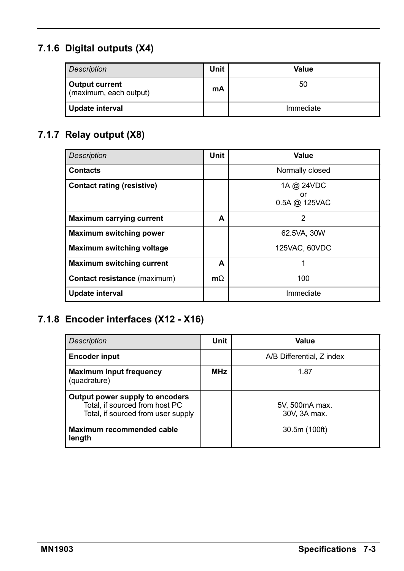## **7.1.6 Digital outputs (X4)**

| Description                                     | Unit | Value     |
|-------------------------------------------------|------|-----------|
| <b>Output current</b><br>(maximum, each output) | mA   | 50        |
| Update interval                                 |      | Immediate |

## **7.1.7 Relay output (X8)**

| <b>Description</b>                | Unit      | Value                             |
|-----------------------------------|-----------|-----------------------------------|
| <b>Contacts</b>                   |           | Normally closed                   |
| <b>Contact rating (resistive)</b> |           | 1A @ 24VDC<br>or<br>0.5A @ 125VAC |
| Maximum carrying current          | A         | 2                                 |
| <b>Maximum switching power</b>    |           | 62.5VA, 30W                       |
| Maximum switching voltage         |           | 125VAC, 60VDC                     |
| <b>Maximum switching current</b>  | A         | 1                                 |
| Contact resistance (maximum)      | $m\Omega$ | 100                               |
| Update interval                   |           | Immediate                         |

## **7.1.8 Encoder interfaces (X12 - X16)**

| <b>Description</b>                                                                                      | Unit       | Value                          |
|---------------------------------------------------------------------------------------------------------|------------|--------------------------------|
| <b>Encoder input</b>                                                                                    |            | A/B Differential, Z index      |
| <b>Maximum input frequency</b><br>(quadrature)                                                          | <b>MHz</b> | 1.87                           |
| Output power supply to encoders<br>Total, if sourced from host PC<br>Total, if sourced from user supply |            | 5V, 500mA max.<br>30V, 3A max. |
| Maximum recommended cable<br>length                                                                     |            | 30.5m (100ft)                  |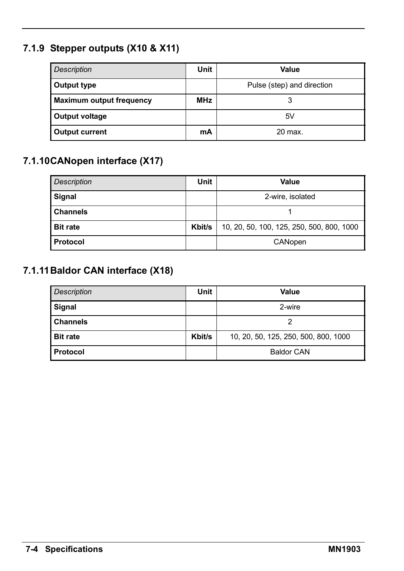# **7.1.9 Stepper outputs (X10 & X11)**

| <b>Description</b>              | Unit       | Value                      |
|---------------------------------|------------|----------------------------|
| Output type                     |            | Pulse (step) and direction |
| <b>Maximum output frequency</b> | <b>MHz</b> |                            |
| Output voltage                  |            | 5V                         |
| <b>Output current</b>           | mA         | 20 max.                    |

### **7.1.10CANopen interface (X17)**

| Description     | Unit   | Value                                     |  |  |
|-----------------|--------|-------------------------------------------|--|--|
| Signal          |        | 2-wire, isolated                          |  |  |
| <b>Channels</b> |        |                                           |  |  |
| <b>Bit rate</b> | Kbit/s | 10, 20, 50, 100, 125, 250, 500, 800, 1000 |  |  |
| Protocol        |        | CANopen                                   |  |  |

### **7.1.11Baldor CAN interface (X18)**

| Description     | Unit   | Value                                |
|-----------------|--------|--------------------------------------|
| Signal          |        | 2-wire                               |
| <b>Channels</b> |        |                                      |
| <b>Bit rate</b> | Kbit/s | 10, 20, 50, 125, 250, 500, 800, 1000 |
| Protocol        |        | <b>Baldor CAN</b>                    |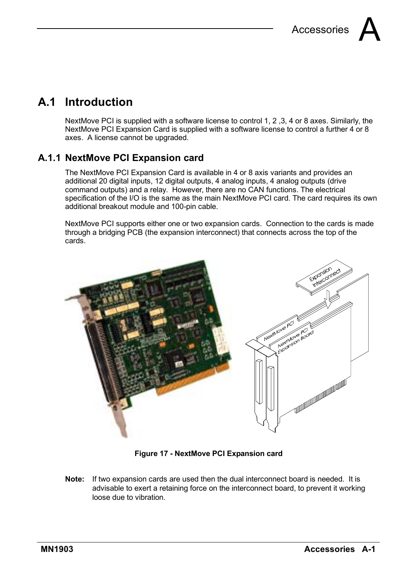# **A.1 Introduction**

NextMove PCI is supplied with a software license to control 1, 2, 3, 4 or 8 axes. Similarly, the NextMove PCI Expansion Card is supplied with a software license to control a further 4 or 8 axes. A license cannot be upgraded.

#### **A.1.1 NextMove PCI Expansion card**

The NextMove PCI Expansion Card is available in 4 or 8 axis variants and provides an additional 20 digital inputs, 12 digital outputs, 4 analog inputs, 4 analog outputs (drive command outputs) and a relay. However, there are no CAN functions. The electrical specification of the I/O is the same as the main NextMove PCI card. The card requires its own additional breakout module and 100-pin cable.

NextMove PCI supports either one or two expansion cards. Connection to the cards is made through a bridging PCB (the expansion interconnect) that connects across the top of the cards.



**Figure 17 - NextMove PCI Expansion card**

**Note:** If two expansion cards are used then the dual interconnect board is needed. It is advisable to exert a retaining force on the interconnect board, to prevent it working loose due to vibration.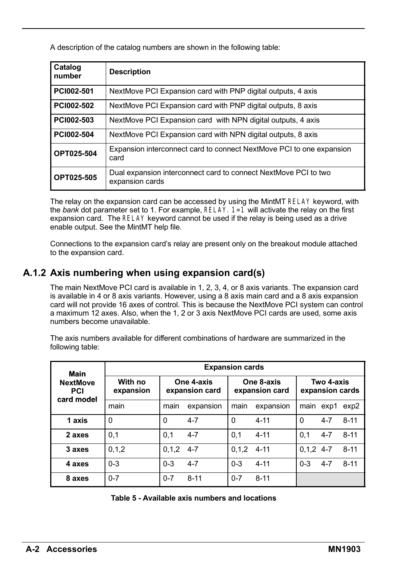A description of the catalog numbers are shown in the following table:

| Catalog<br>number | <b>Description</b>                                                                 |
|-------------------|------------------------------------------------------------------------------------|
| PC1002-501        | NextMove PCI Expansion card with PNP digital outputs, 4 axis                       |
| PC1002-502        | NextMove PCI Expansion card with PNP digital outputs, 8 axis                       |
| PC1002-503        | NextMove PCI Expansion card with NPN digital outputs, 4 axis                       |
| PC1002-504        | NextMove PCI Expansion card with NPN digital outputs, 8 axis                       |
| OPT025-504        | Expansion interconnect card to connect NextMove PCI to one expansion<br>card       |
| OPT025-505        | Dual expansion interconnect card to connect NextMove PCI to two<br>expansion cards |

The relay on the expansion card can be accessed by using the MintMT RELAY keyword, with the *bank* dot parameter set to 1. For example,  $RELAY$ .  $1=1$  will activate the relay on the first expansion card. The RELAY keyword cannot be used if the relay is being used as a drive enable output. See the MintMT help file.

Connections to the expansion cardís relay are present only on the breakout module attached to the expansion card.

#### **A.1.2 Axis numbering when using expansion card(s)**

The main NextMove PCI card is available in 1, 2, 3, 4, or 8 axis variants. The expansion card is available in 4 or 8 axis variants. However, using a 8 axis main card and a 8 axis expansion card will not provide 16 axes of control. This is because the NextMove PCI system can control a maximum 12 axes. Also, when the 1, 2 or 3 axis NextMove PCI cards are used, some axis numbers become unavailable.

The axis numbers available for different combinations of hardware are summarized in the following table:

| Main                                        | <b>Expansion cards</b> |                              |           |                              |           |                               |         |          |
|---------------------------------------------|------------------------|------------------------------|-----------|------------------------------|-----------|-------------------------------|---------|----------|
| <b>NextMove</b><br><b>PCI</b><br>card model | With no<br>expansion   | One 4-axis<br>expansion card |           | One 8-axis<br>expansion card |           | Two 4-axis<br>expansion cards |         |          |
|                                             | main                   | main                         | expansion | main                         | expansion | main                          | exp1    | exp2     |
| 1 axis                                      | 0                      | 0                            | $4 - 7$   | $\Omega$                     | $4 - 11$  | 0                             | $4 - 7$ | $8 - 11$ |
| 2 axes                                      | 0,1                    | 0.1                          | $4 - 7$   | 0.1                          | $4 - 11$  | 0.1                           | $4 - 7$ | $8 - 11$ |
| 3 axes                                      | 0, 1, 2                | 0.1.2                        | $4 - 7$   | 0.1.2                        | $4 - 11$  | $0.1, 2$ 4-7                  |         | $8 - 11$ |
| 4 axes                                      | $0 - 3$                | $0 - 3$                      | $4 - 7$   | $0 - 3$                      | $4 - 11$  | $0 - 3$                       | $4 - 7$ | $8-11$   |
| 8 axes                                      | $0 - 7$                | $0 - 7$                      | $8 - 11$  | $0 - 7$                      | $8 - 11$  |                               |         |          |

| Table 5 - Available axis numbers and locations |
|------------------------------------------------|
|------------------------------------------------|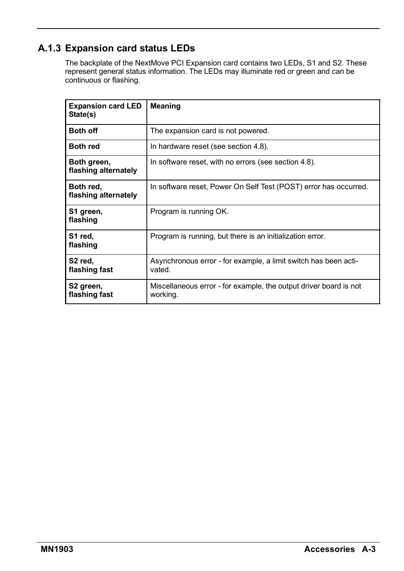### **A.1.3 Expansion card status LEDs**

The backplate of the NextMove PCI Expansion card contains two LEDs, S1 and S2. These represent general status information. The LEDs may illuminate red or green and can be continuous or flashing.

| <b>Expansion card LED</b><br>State(s)  | <b>Meaning</b>                                                                |
|----------------------------------------|-------------------------------------------------------------------------------|
| <b>Both off</b>                        | The expansion card is not powered.                                            |
| <b>Both red</b>                        | In hardware reset (see section 4.8).                                          |
| Both green,<br>flashing alternately    | In software reset, with no errors (see section 4.8).                          |
| Both red,<br>flashing alternately      | In software reset, Power On Self Test (POST) error has occurred.              |
| S1 green,<br>flashing                  | Program is running OK.                                                        |
| S1 red,<br>flashing                    | Program is running, but there is an initialization error.                     |
| S <sub>2</sub> red,<br>flashing fast   | Asynchronous error - for example, a limit switch has been acti-<br>vated.     |
| S <sub>2</sub> green,<br>flashing fast | Miscellaneous error - for example, the output driver board is not<br>working. |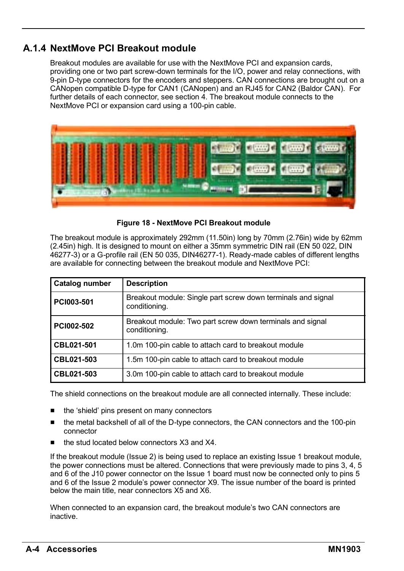#### **A.1.4 NextMove PCI Breakout module**

Breakout modules are available for use with the NextMove PCI and expansion cards, providing one or two part screw-down terminals for the I/O, power and relay connections, with 9-pin D-type connectors for the encoders and steppers. CAN connections are brought out on a CANopen compatible D-type for CAN1 (CANopen) and an RJ45 for CAN2 (Baldor CAN). For further details of each connector, see section 4. The breakout module connects to the NextMove PCI or expansion card using a 100-pin cable.



**Figure 18 - NextMove PCI Breakout module**

The breakout module is approximately 292mm (11.50in) long by 70mm (2.76in) wide by 62mm (2.45in) high. It is designed to mount on either a 35mm symmetric DIN rail (EN 50 022, DIN 46277-3) or a G-profile rail (EN 50 035, DIN46277-1). Ready-made cables of different lengths are available for connecting between the breakout module and NextMove PCI:

| Catalog number | <b>Description</b>                                                            |
|----------------|-------------------------------------------------------------------------------|
| PC1003-501     | Breakout module: Single part screw down terminals and signal<br>conditioning. |
| PC1002-502     | Breakout module: Two part screw down terminals and signal<br>conditioning.    |
| CBL021-501     | 1.0m 100-pin cable to attach card to breakout module                          |
| CBL021-503     | 1.5m 100-pin cable to attach card to breakout module                          |
| CBL021-503     | 3.0m 100-pin cable to attach card to breakout module                          |

The shield connections on the breakout module are all connected internally. These include:

- the 'shield' pins present on many connectors
- the metal backshell of all of the D-type connectors, the CAN connectors and the 100-pin connector
- the stud located below connectors X3 and X4

If the breakout module (Issue 2) is being used to replace an existing Issue 1 breakout module, the power connections must be altered. Connections that were previously made to pins 3, 4, 5 and 6 of the J10 power connector on the Issue 1 board must now be connected only to pins 5 and 6 of the Issue 2 moduleís power connector X9. The issue number of the board is printed below the main title, near connectors X5 and X6.

When connected to an expansion card, the breakout module's two CAN connectors are inactive.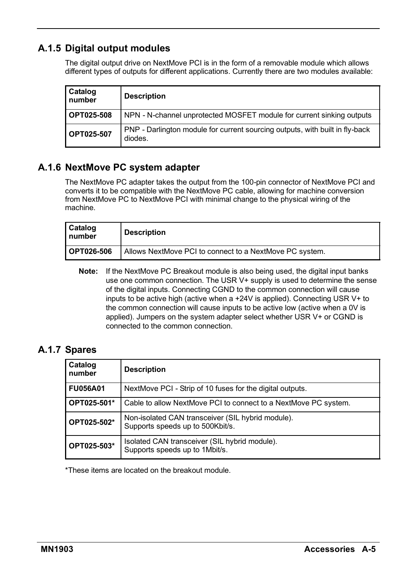### **A.1.5 Digital output modules**

The digital output drive on NextMove PCI is in the form of a removable module which allows different types of outputs for different applications. Currently there are two modules available:

| Catalog<br>number | <b>Description</b>                                                                      |
|-------------------|-----------------------------------------------------------------------------------------|
| OPT025-508        | NPN - N-channel unprotected MOSFET module for current sinking outputs                   |
| OPT025-507        | PNP - Darlington module for current sourcing outputs, with built in fly-back<br>diodes. |

#### **A.1.6 NextMove PC system adapter**

The NextMove PC adapter takes the output from the 100-pin connector of NextMove PCI and converts it to be compatible with the NextMove PC cable, allowing for machine conversion from NextMove PC to NextMove PCI with minimal change to the physical wiring of the machine.

| Catalog<br>number | <b>Description</b>                                      |
|-------------------|---------------------------------------------------------|
| OPT026-506        | Allows NextMove PCI to connect to a NextMove PC system. |

**Note:** If the NextMove PC Breakout module is also being used, the digital input banks use one common connection. The USR V+ supply is used to determine the sense of the digital inputs. Connecting CGND to the common connection will cause inputs to be active high (active when a +24V is applied). Connecting USR V+ to the common connection will cause inputs to be active low (active when a 0V is applied). Jumpers on the system adapter select whether USR V+ or CGND is connected to the common connection.

#### **A.1.7 Spares**

| Catalog<br>number | <b>Description</b>                                                                    |
|-------------------|---------------------------------------------------------------------------------------|
| <b>FU056A01</b>   | NextMove PCI - Strip of 10 fuses for the digital outputs.                             |
| OPT025-501*       | Cable to allow NextMove PCI to connect to a NextMove PC system.                       |
| OPT025-502*       | Non-isolated CAN transceiver (SIL hybrid module).<br>Supports speeds up to 500Kbit/s. |
| OPT025-503*       | Isolated CAN transceiver (SIL hybrid module).<br>Supports speeds up to 1Mbit/s.       |

\*These items are located on the breakout module.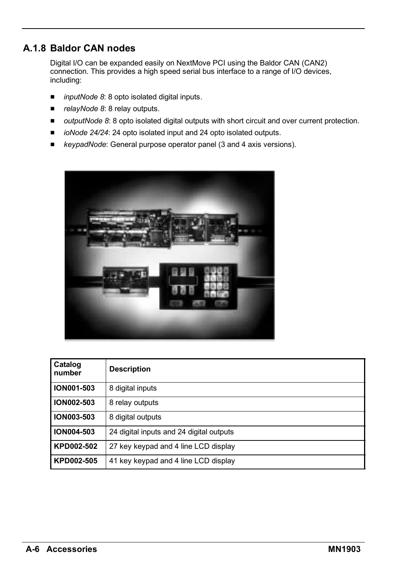### **A.1.8 Baldor CAN nodes**

Digital I/O can be expanded easily on NextMove PCI using the Baldor CAN (CAN2) connection. This provides a high speed serial bus interface to a range of I/O devices, including:

- *inputNode 8*: 8 opto isolated digital inputs.
- *relayNode 8*: 8 relay outputs.
- **H** *outputNode 8*: 8 opto isolated digital outputs with short circuit and over current protection.
- *ioNode 24/24*: 24 opto isolated input and 24 opto isolated outputs.
- *keypadNode*: General purpose operator panel (3 and 4 axis versions).



| Catalog<br>number | <b>Description</b>                       |
|-------------------|------------------------------------------|
| <b>ION001-503</b> | 8 digital inputs                         |
| <b>ION002-503</b> | 8 relay outputs                          |
| <b>ION003-503</b> | 8 digital outputs                        |
| <b>ION004-503</b> | 24 digital inputs and 24 digital outputs |
| KPD002-502        | 27 key keypad and 4 line LCD display     |
| KPD002-505        | 41 key keypad and 4 line LCD display     |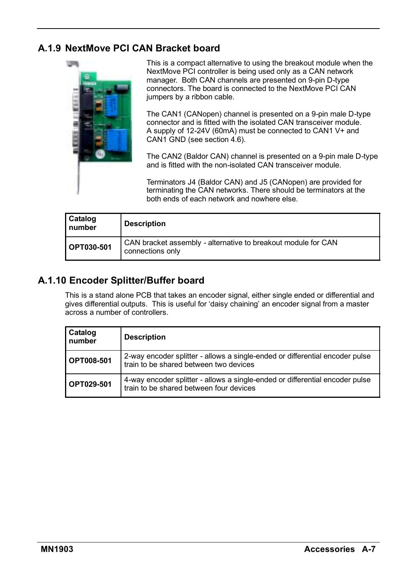### **A.1.9 NextMove PCI CAN Bracket board**



This is a compact alternative to using the breakout module when the NextMove PCI controller is being used only as a CAN network manager. Both CAN channels are presented on 9-pin D-type connectors. The board is connected to the NextMove PCI CAN jumpers by a ribbon cable.

The CAN1 (CANopen) channel is presented on a 9-pin male D-type connector and is fitted with the isolated CAN transceiver module. A supply of 12-24V (60mA) must be connected to CAN1 V+ and CAN1 GND (see section 4.6).

The CAN2 (Baldor CAN) channel is presented on a 9-pin male D-type and is fitted with the non-isolated CAN transceiver module.

Terminators J4 (Baldor CAN) and J5 (CANopen) are provided for terminating the CAN networks. There should be terminators at the both ends of each network and nowhere else.

| Catalog<br>number | <b>Description</b>                                                                |
|-------------------|-----------------------------------------------------------------------------------|
| OPT030-501        | CAN bracket assembly - alternative to breakout module for CAN<br>connections only |

#### **A.1.10 Encoder Splitter/Buffer board**

This is a stand alone PCB that takes an encoder signal, either single ended or differential and gives differential outputs. This is useful for ëdaisy chainingí an encoder signal from a master across a number of controllers.

| Catalog<br>number | <b>Description</b>                                                                                                      |
|-------------------|-------------------------------------------------------------------------------------------------------------------------|
| <b>OPT008-501</b> | 2-way encoder splitter - allows a single-ended or differential encoder pulse<br>train to be shared between two devices  |
| OPT029-501        | 4-way encoder splitter - allows a single-ended or differential encoder pulse<br>train to be shared between four devices |